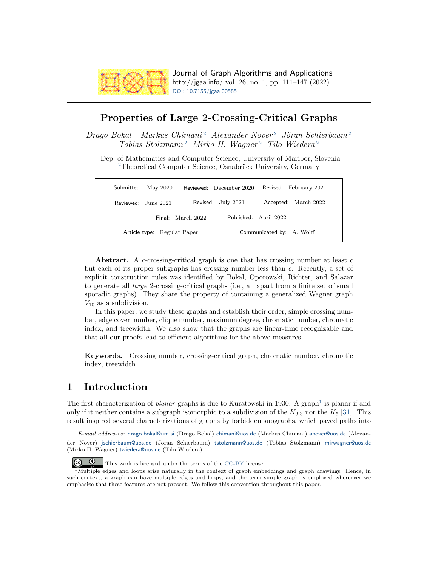<span id="page-0-1"></span>

Journal of Graph Algorithms and Applications http://jgaa.info/ vol. 26, no. 1, pp. 111–147 (2022) [DOI: 10.7155/jgaa.00585](http://dx.doi.org/10.7155/jgaa.00585)

### Properties of Large 2-Crossing-Critical Graphs

<span id="page-0-0"></span> $Di \alpha Q$  Bokal<sup>[1](#page-0-0)</sup> Markus Chimani<sup>[2](#page-0-0)</sup> Alexander Nover<sup>2</sup> Jöran Schierbaum<sup>2</sup>  $Tobias Stolzmann<sup>2</sup>$  $Tobias Stolzmann<sup>2</sup>$  $Tobias Stolzmann<sup>2</sup>$  Mirko H. Wagner<sup>2</sup> Tilo Wiedera<sup>2</sup>

<sup>[1](#page-0-0)</sup>Dep. of Mathematics and Computer Science, University of Maribor, Slovenia  $2$ Theoretical Computer Science, Osnabrück University, Germany

| Submitted: May 2020         |                   | Reviewed: December 2020 |                           | Revised: February 2021 |
|-----------------------------|-------------------|-------------------------|---------------------------|------------------------|
| Reviewed: June 2021         |                   | Revised: July 2021      |                           | Accepted: March 2022   |
|                             | Final: March 2022 |                         | Published: April 2022     |                        |
| Article type: Regular Paper |                   |                         | Communicated by: A. Wolff |                        |

Abstract. A c-crossing-critical graph is one that has crossing number at least  $c$ but each of its proper subgraphs has crossing number less than c. Recently, a set of explicit construction rules was identified by Bokal, Oporowski, Richter, and Salazar to generate all large 2-crossing-critical graphs (i.e., all apart from a finite set of small sporadic graphs). They share the property of containing a generalized Wagner graph  $V_{10}$  as a subdivision.

In this paper, we study these graphs and establish their order, simple crossing number, edge cover number, clique number, maximum degree, chromatic number, chromatic index, and treewidth. We also show that the graphs are linear-time recognizable and that all our proofs lead to efficient algorithms for the above measures.

Keywords. Crossing number, crossing-critical graph, chromatic number, chromatic index, treewidth.

## 1 Introduction

The first characterization of *planar* graphs is due to Kuratowski in 1930: A graph<sup>1</sup> is planar if and only if it neither contains a subgraph isomorphic to a subdivision of the  $K_{3,3}$  nor the  $K_5$  [\[31\]](#page-26-0). This result inspired several characterizations of graphs by forbidden subgraphs, which paved paths into

E-mail addresses: [drago.bokal@um.si](mailto:drago.bokal@um.si) (Drago Bokal) [chimani@uos.de](mailto:chimani@uos.de) (Markus Chimani) [anover@uos.de](mailto:anover@uos.de) (Alexander Nover) ischierbaum@uos.de (Jöran Schierbaum) [tstolzmann@uos.de](mailto:tstolzmann@uos.de) (Tobias Stolzmann) [mirwagner@uos.de](mailto:mirwagner@uos.de) (Mirko H. Wagner) [twiedera@uos.de](mailto:twiedera@uos.de) (Tilo Wiedera)

 $\odot$ This work is licensed under the terms of the [CC-BY](https://creativecommons.org/licenses/by/4.0/) license.

 $1<sup>1</sup>$ Multiple edges and loops arise naturally in the context of graph embeddings and graph drawings. Hence, in such context, a graph can have multiple edges and loops, and the term simple graph is employed whereever we emphasize that these features are not present. We follow this convention throughout this paper.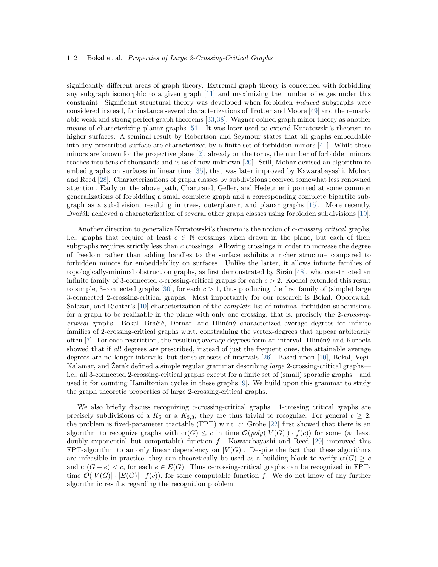significantly different areas of graph theory. Extremal graph theory is concerned with forbidding any subgraph isomorphic to a given graph [\[11\]](#page-25-0) and maximizing the number of edges under this constraint. Significant structural theory was developed when forbidden induced subgraphs were considered instead, for instance several characterizations of Trotter and Moore [\[49\]](#page-27-0) and the remarkable weak and strong perfect graph theorems [\[33,](#page-26-1)[38\]](#page-27-1). Wagner coined graph minor theory as another means of characterizing planar graphs [\[51\]](#page-28-0). It was later used to extend Kuratowski's theorem to higher surfaces: A seminal result by Robertson and Seymour states that all graphs embeddable into any prescribed surface are characterized by a finite set of forbidden minors [\[41\]](#page-27-2). While these minors are known for the projective plane [\[2\]](#page-24-0), already on the torus, the number of forbidden minors reaches into tens of thousands and is as of now unknown [\[20\]](#page-26-2). Still, Mohar devised an algorithm to embed graphs on surfaces in linear time [\[35\]](#page-27-3), that was later improved by Kawarabayashi, Mohar, and Reed [\[28\]](#page-26-3). Characterizations of graph classes by subdivisions received somewhat less renowned attention. Early on the above path, Chartrand, Geller, and Hedetniemi pointed at some common generalizations of forbidding a small complete graph and a corresponding complete bipartite subgraph as a subdivision, resulting in trees, outerplanar, and planar graphs [\[15\]](#page-25-1). More recently, Dvořák achieved a characterization of several other graph classes using forbidden subdivisions [\[19\]](#page-25-2).

Another direction to generalize Kuratowski's theorem is the notion of *c-crossing critical* graphs, i.e., graphs that require at least  $c \in \mathbb{N}$  crossings when drawn in the plane, but each of their subgraphs requires strictly less than  $c$  crossings. Allowing crossings in order to increase the degree of freedom rather than adding handles to the surface exhibits a richer structure compared to forbidden minors for embeddability on surfaces. Unlike the latter, it allows infinite families of topologically-minimal obstruction graphs, as first demonstrated by  $\text{Siráñ}$  [[48\]](#page-27-4), who constructed an infinite family of 3-connected c-crossing-critical graphs for each  $c > 2$ . Kochol extended this result to simple, 3-connected graphs [\[30\]](#page-26-4), for each  $c > 1$ , thus producing the first family of (simple) large 3-connected 2-crossing-critical graphs. Most importantly for our research is Bokal, Oporowski, Salazar, and Richter's [\[10\]](#page-25-3) characterization of the complete list of minimal forbidden subdivisions for a graph to be realizable in the plane with only one crossing; that is, precisely the 2-crossingcritical graphs. Bokal, Bračič, Dernar, and Hliněný characterized average degrees for infinite families of 2-crossing-critical graphs w.r.t. constraining the vertex-degrees that appear arbitrarily often  $[7]$ . For each restriction, the resulting average degrees form an interval. Hliněný and Korbela showed that if all degrees are prescribed, instead of just the frequent ones, the attainable average degrees are no longer intervals, but dense subsets of intervals [\[26\]](#page-26-5). Based upon [\[10\]](#page-25-3), Bokal, Vegi-Kalamar, and Zerak defined a simple regular grammar describing *large* 2-crossing-critical graphsi.e., all 3-connected 2-crossing-critical graphs except for a finite set of (small) sporadic graphs—and used it for counting Hamiltonian cycles in these graphs [\[9\]](#page-25-5). We build upon this grammar to study the graph theoretic properties of large 2-crossing-critical graphs.

We also briefly discuss recognizing c-crossing-critical graphs. 1-crossing critical graphs are precisely subdivisions of a  $K_5$  or a  $K_{3,3}$ ; they are thus trivial to recognize. For general  $c \geq 2$ , the problem is fixed-parameter tractable (FPT) w.r.t. c: Grohe [\[22\]](#page-26-6) first showed that there is an algorithm to recognize graphs with  $cr(G) \leq c$  in time  $\mathcal{O}(poly(|V(G)|) \cdot f(c))$  for some (at least doubly exponential but computable) function  $f$ . Kawarabayashi and Reed [\[29\]](#page-26-7) improved this FPT-algorithm to an only linear dependency on  $|V(G)|$ . Despite the fact that these algorithms are infeasible in practice, they can theoretically be used as a building block to verify  $cr(G) \geq c$ and  $cr(G - e) < c$ , for each  $e \in E(G)$ . Thus c-crossing-critical graphs can be recognized in FPTtime  $\mathcal{O}(|V(G)| \cdot |E(G)| \cdot f(c))$ , for some computable function f. We do not know of any further algorithmic results regarding the recognition problem.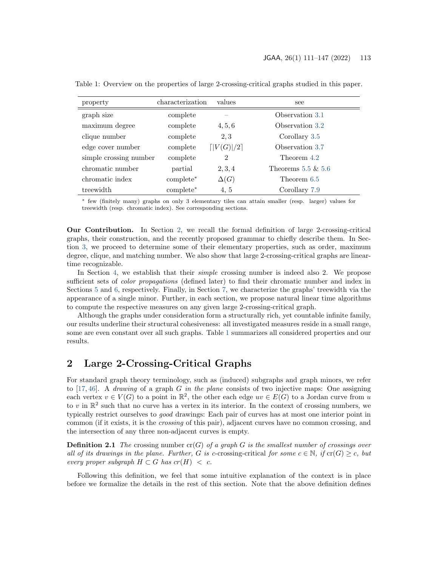| property               | characterization | values                  | see                   |
|------------------------|------------------|-------------------------|-----------------------|
| graph size             | complete         |                         | Observation 3.1       |
| maximum degree         | complete         | 4, 5, 6                 | Observation 3.2       |
| clique number          | complete         | 2.3                     | Corollary 3.5         |
| edge cover number      | complete         | $\lceil  V(G) /2\rceil$ | Observation 3.7       |
| simple crossing number | complete         | $\overline{2}$          | Theorem 4.2           |
| chromatic number       | partial          | 2, 3, 4                 | Theorems 5.5 $\&$ 5.6 |
| chromatic index        | $complete*$      | $\Delta(G)$             | Theorem 6.5           |
| treewidth              | complete*        | 4, 5                    | Corollary 7.9         |

<span id="page-2-1"></span>Table 1: Overview on the properties of large 2-crossing-critical graphs studied in this paper.

<sup>∗</sup> few (finitely many) graphs on only 3 elementary tiles can attain smaller (resp. larger) values for treewidth (resp. chromatic index). See corresponding sections.

Our Contribution. In Section [2,](#page-2-0) we recall the formal definition of large 2-crossing-critical graphs, their construction, and the recently proposed grammar to chiefly describe them. In Section [3,](#page-7-2) we proceed to determine some of their elementary properties, such as order, maximum degree, clique, and matching number. We also show that large 2-crossing-critical graphs are lineartime recognizable.

In Section [4,](#page-10-0) we establish that their *simple* crossing number is indeed also 2. We propose sufficient sets of color propagations (defined later) to find their chromatic number and index in Sections [5](#page-12-0) and [6,](#page-17-0) respectively. Finally, in Section [7,](#page-20-0) we characterize the graphs' treewidth via the appearance of a single minor. Further, in each section, we propose natural linear time algorithms to compute the respective measures on any given large 2-crossing-critical graph.

Although the graphs under consideration form a structurally rich, yet countable infinite family, our results underline their structural cohesiveness: all investigated measures reside in a small range, some are even constant over all such graphs. Table [1](#page-2-1) summarizes all considered properties and our results.

### <span id="page-2-0"></span>2 Large 2-Crossing-Critical Graphs

For standard graph theory terminology, such as (induced) subgraphs and graph minors, we refer to [\[17,](#page-25-6) [46\]](#page-27-5). A *drawing* of a graph G in the plane consists of two injective maps: One assigning each vertex  $v \in V(G)$  to a point in  $\mathbb{R}^2$ , the other each edge  $uv \in E(G)$  to a Jordan curve from u to v in  $\mathbb{R}^2$  such that no curve has a vertex in its interior. In the context of crossing numbers, we typically restrict ourselves to good drawings: Each pair of curves has at most one interior point in common (if it exists, it is the crossing of this pair), adjacent curves have no common crossing, and the intersection of any three non-adjacent curves is empty.

**Definition 2.1** The crossing number  $cr(G)$  of a graph G is the smallest number of crossings over all of its drawings in the plane. Further, G is c-crossing-critical for some  $c \in \mathbb{N}$ , if  $cr(G) \geq c$ , but every proper subgraph  $H \subset G$  has  $cr(H) < c$ .

Following this definition, we feel that some intuitive explanation of the context is in place before we formalize the details in the rest of this section. Note that the above definition defines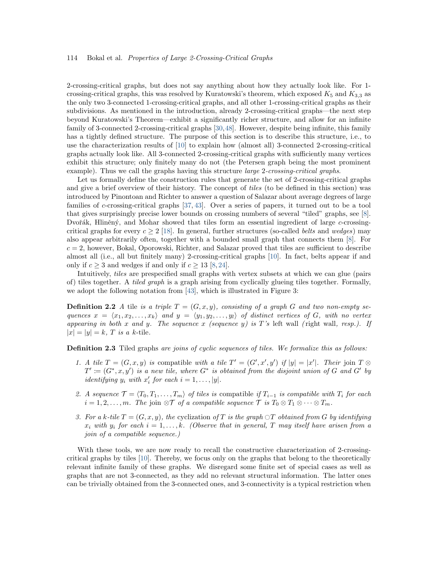2-crossing-critical graphs, but does not say anything about how they actually look like. For 1 crossing-critical graphs, this was resolved by Kuratowski's theorem, which exposed  $K_5$  and  $K_{3,3}$  as the only two 3-connected 1-crossing-critical graphs, and all other 1-crossing-critical graphs as their subdivisions. As mentioned in the introduction, already 2-crossing-critical graphs—the next step beyond Kuratowski's Theorem—exhibit a significantly richer structure, and allow for an infinite family of 3-connected 2-crossing-critical graphs [\[30,](#page-26-4)[48\]](#page-27-4). However, despite being infinite, this family has a tightly defined structure. The purpose of this section is to describe this structure, i.e., to use the characterization results of [\[10\]](#page-25-3) to explain how (almost all) 3-connected 2-crossing-critical graphs actually look like. All 3-connected 2-crossing-critical graphs with sufficiently many vertices exhibit this structure; only finitely many do not (the Petersen graph being the most prominent example). Thus we call the graphs having this structure *large 2-crossing-critical graphs*.

Let us formally define the construction rules that generate the set of 2-crossing-critical graphs and give a brief overview of their history. The concept of tiles (to be defined in this section) was introduced by Pinontoan and Richter to answer a question of Salazar about average degrees of large families of c-crossing-critical graphs [\[37,](#page-27-6) [43\]](#page-27-7). Over a series of papers, it turned out to be a tool that gives surprisingly precise lower bounds on crossing numbers of several "tiled" graphs, see [\[8\]](#page-25-7). Dvořák, Hliněný, and Mohar showed that tiles form an essential ingredient of large  $c$ -crossingcritical graphs for every  $c \ge 2$  [\[18\]](#page-25-8). In general, further structures (so-called *belts* and *wedges*) may also appear arbitrarily often, together with a bounded small graph that connects them [\[8\]](#page-25-7). For  $c = 2$ , however, Bokal, Oporowski, Richter, and Salazar proved that tiles are sufficient to describe almost all (i.e., all but finitely many) 2-crossing-critical graphs [\[10\]](#page-25-3). In fact, belts appear if and only if  $c \geq 3$  and wedges if and only if  $c \geq 13$  [\[8,](#page-25-7) [24\]](#page-26-8).

Intuitively, tiles are prespecified small graphs with vertex subsets at which we can glue (pairs of) tiles together. A tiled graph is a graph arising from cyclically glueing tiles together. Formally, we adopt the following notation from [\[43\]](#page-27-7), which is illustrated in Figure 3:

**Definition 2.2** A tile is a triple  $T = (G, x, y)$ , consisting of a graph G and two non-empty sequences  $x = \langle x_1, x_2, \ldots, x_k \rangle$  and  $y = \langle y_1, y_2, \ldots, y_l \rangle$  of distinct vertices of G, with no vertex appearing in both x and y. The sequence x (sequence y) is T's left wall (right wall, resp.). If  $|x| = |y| = k$ , T is a k-tile.

<span id="page-3-0"></span>Definition 2.3 Tiled graphs are joins of cyclic sequences of tiles. We formalize this as follows:

- 1. A tile  $T = (G, x, y)$  is compatible with a tile  $T' = (G', x', y')$  if  $|y| = |x'|$ . Their join  $T \otimes$  $T' := (G^*, x, y')$  is a new tile, where  $G^*$  is obtained from the disjoint union of G and G' by *identifying*  $y_i$  with  $x'_i$  for each  $i = 1, ..., |y|$ .
- 2. A sequence  $\mathcal{T} = \langle T_0, T_1, \ldots, T_m \rangle$  of tiles is compatible if  $T_{i-1}$  is compatible with  $T_i$  for each  $i = 1, 2, \ldots, m$ . The join  $\otimes \mathcal{T}$  of a compatible sequence  $\mathcal{T}$  is  $T_0 \otimes T_1 \otimes \cdots \otimes T_m$ .
- 3. For a k-tile  $T = (G, x, y)$ , the cyclization of T is the graph  $\bigcirc T$  obtained from G by identifying  $x_i$  with  $y_i$  for each  $i = 1, \ldots, k$ . (Observe that in general, T may itself have arisen from a join of a compatible sequence.)

With these tools, we are now ready to recall the constructive characterization of 2-crossingcritical graphs by tiles [\[10\]](#page-25-3). Thereby, we focus only on the graphs that belong to the theoretically relevant infinite family of these graphs. We disregard some finite set of special cases as well as graphs that are not 3-connected, as they add no relevant structural information. The latter ones can be trivially obtained from the 3-connected ones, and 3-connectivity is a typical restriction when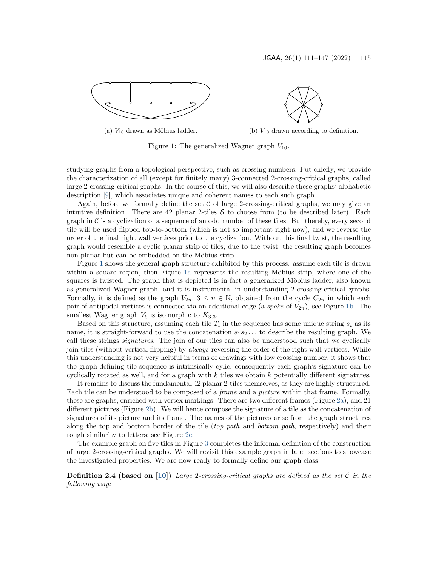<span id="page-4-0"></span>



(a)  $V_{10}$  drawn as Möbius ladder. (b)  $V_{10}$  drawn according to definition.

Figure 1: The generalized Wagner graph  $V_{10}$ .

studying graphs from a topological perspective, such as crossing numbers. Put chiefly, we provide the characterization of all (except for finitely many) 3-connected 2-crossing-critical graphs, called large 2-crossing-critical graphs. In the course of this, we will also describe these graphs' alphabetic description [\[9\]](#page-25-5), which associates unique and coherent names to each such graph.

Again, before we formally define the set  $\mathcal C$  of large 2-crossing-critical graphs, we may give an intuitive definition. There are 42 planar 2-tiles  $S$  to choose from (to be described later). Each graph in  $\mathcal C$  is a cyclization of a sequence of an odd number of these tiles. But thereby, every second tile will be used flipped top-to-bottom (which is not so important right now), and we reverse the order of the final right wall vertices prior to the cyclization. Without this final twist, the resulting graph would resemble a cyclic planar strip of tiles; due to the twist, the resulting graph becomes non-planar but can be embedded on the Möbius strip.

Figure [1](#page-4-0) shows the general graph structure exhibited by this process: assume each tile is drawn within a square region, then Figure [1a](#page-4-0) represents the resulting Möbius strip, where one of the squares is twisted. The graph that is depicted is in fact a generalized Möbius ladder, also known as generalized Wagner graph, and it is instrumental in understanding 2-crossing-critical graphs. Formally, it is defined as the graph  $V_{2n}$ ,  $3 \leq n \in \mathbb{N}$ , obtained from the cycle  $C_{2n}$  in which each pair of antipodal vertices is connected via an additional edge (a spoke of  $V_{2n}$ ), see Figure [1b.](#page-4-0) The smallest Wagner graph  $V_6$  is isomorphic to  $K_{3,3}$ .

Based on this structure, assuming each tile  $T_i$  in the sequence has some unique string  $s_i$  as its name, it is straight-forward to use the concatenation  $s_1s_2 \ldots$  to describe the resulting graph. We call these strings signatures. The join of our tiles can also be understood such that we cyclically join tiles (without vertical flipping) by always reversing the order of the right wall vertices. While this understanding is not very helpful in terms of drawings with low crossing number, it shows that the graph-defining tile sequence is intrinsically cylic; consequently each graph's signature can be cyclically rotated as well, and for a graph with  $k$  tiles we obtain  $k$  potentially different signatures.

It remains to discuss the fundamental 42 planar 2-tiles themselves, as they are highly structured. Each tile can be understood to be composed of a frame and a picture within that frame. Formally, these are graphs, enriched with vertex markings. There are two different frames (Figure [2a\)](#page-5-0), and 21 different pictures (Figure [2b\)](#page-5-0). We will hence compose the signature of a tile as the concatenation of signatures of its picture and its frame. The names of the pictures arise from the graph structures along the top and bottom border of the tile (top path and bottom path, respectively) and their rough similarity to letters; see Figure [2c.](#page-5-0)

The example graph on five tiles in Figure [3](#page-6-0) completes the informal definition of the construction of large 2-crossing-critical graphs. We will revisit this example graph in later sections to showcase the investigated properties. We are now ready to formally define our graph class.

<span id="page-4-1"></span>**Definition 2.4 (based on** [\[10\]](#page-25-3)) Large 2-crossing-critical graphs are defined as the set C in the following way: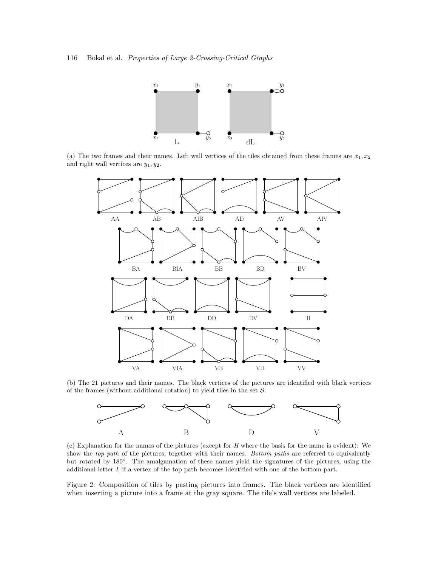<span id="page-5-0"></span>

(a) The two frames and their names. Left wall vertices of the tiles obtained from these frames are  $x_1, x_2$ and right wall vertices are  $y_1, y_2$ .



(b) The 21 pictures and their names. The black vertices of the pictures are identified with black vertices of the frames (without additional rotation) to yield tiles in the set  $S$ .



(c) Explanation for the names of the pictures (except for H where the basis for the name is evident): We show the top path of the pictures, together with their names. Bottom paths are referred to equivalently but rotated by 180°. The amalgamation of these names yield the signatures of the pictures, using the additional letter I, if a vertex of the top path becomes identified with one of the bottom part.

Figure 2: Composition of tiles by pasting pictures into frames. The black vertices are identified when inserting a picture into a frame at the gray square. The tile's wall vertices are labeled.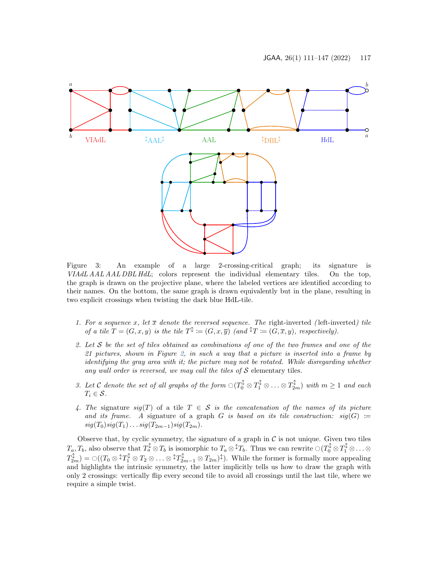<span id="page-6-0"></span>

Figure 3: An example of a large 2-crossing-critical graph; its signature is VIAdL AAL AAL DBL HdL; colors represent the individual elementary tiles. On the top, the graph is drawn on the projective plane, where the labeled vertices are identified according to their names. On the bottom, the same graph is drawn equivalently but in the plane, resulting in two explicit crossings when twisting the dark blue HdL-tile.

- 1. For a sequence x, let  $\bar{x}$  denote the reversed sequence. The right-inverted (left-inverted) tile of a tile  $T = (G, x, y)$  is the tile  $T^{\updownarrow} := (G, x, \overline{y})$  (and  $^{\updownarrow}T := (G, \overline{x}, y)$ , respectively).
- 2. Let  $S$  be the set of tiles obtained as combinations of one of the two frames and one of the 21 pictures, shown in Figure [2,](#page-5-0) in such a way that a picture is inserted into a frame by identifying the gray area with it; the picture may not be rotated. While disregarding whether any wall order is reversed, we may call the tiles of  $S$  elementary tiles.
- 3. Let C denote the set of all graphs of the form  $\mathcal{O}(T_0^{\updownarrow} \otimes T_1^{\updownarrow} \otimes \ldots \otimes T_{2m}^{\updownarrow})$  with  $m \geq 1$  and each  $T_i \in \mathcal{S}$ .
- 4. The signature  $sig(T)$  of a tile  $T \in S$  is the concatenation of the names of its picture and its frame. A signature of a graph G is based on its tile construction:  $sig(G) :=$  $sig(T_0)sig(T_1)...sig(T_{2m-1})sig(T_{2m}).$

Observe that, by cyclic symmetry, the signature of a graph in  $C$  is not unique. Given two tiles  $T_a, T_b$ , also observe that  $T_a^{\updownarrow} \otimes T_b$  is isomorphic to  $T_a \otimes {}^{\updownarrow}T_b$ . Thus we can rewrite  $\bigcirc(T_0^{\updownarrow} \otimes T_1^{\updownarrow} \otimes \ldots \otimes T_b^{\updownarrow} \otimes T_b^{\updownarrow} \otimes T_b$  $T_{2m}^{\updownarrow}) = \bigcirc((T_0 \otimes \mathbb{1}T_1^{\updownarrow} \otimes T_2 \otimes \ldots \otimes \mathbb{1}T_{2m-1}^{\updownarrow} \otimes T_{2m})^{\updownarrow}).$  While the former is formally more appealing and highlights the intrinsic symmetry, the latter implicitly tells us how to draw the graph with only 2 crossings: vertically flip every second tile to avoid all crossings until the last tile, where we require a simple twist.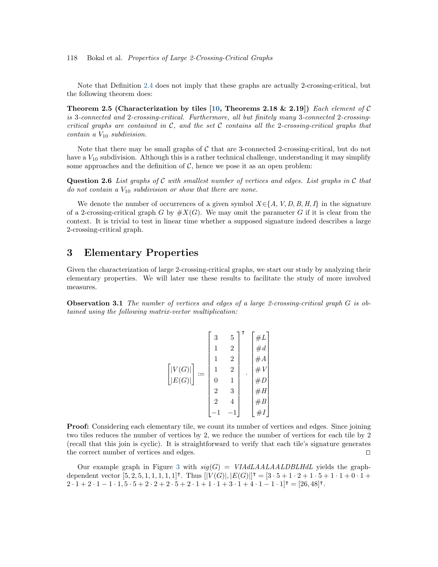Note that Definition [2.4](#page-4-1) does not imply that these graphs are actually 2-crossing-critical, but the following theorem does:

Theorem 2.5 (Characterization by tiles [\[10,](#page-25-3) Theorems 2.18 & 2.19]) Each element of C is 3-connected and 2-crossing-critical. Furthermore, all but finitely many 3-connected 2-crossingcritical graphs are contained in  $\mathcal{C}$ , and the set  $\mathcal{C}$  contains all the 2-crossing-critical graphs that contain a  $V_{10}$  subdivision.

Note that there may be small graphs of  $C$  that are 3-connected 2-crossing-critical, but do not have a  $V_{10}$  subdivision. Although this is a rather technical challenge, understanding it may simplify some approaches and the definition of  $C$ , hence we pose it as an open problem:

**Question 2.6** List graphs of C with smallest number of vertices and edges. List graphs in C that do not contain a  $V_{10}$  subdivision or show that there are none.

We denote the number of occurrences of a given symbol  $X \in \{A, V, D, B, H, I\}$  in the signature of a 2-crossing-critical graph G by  $\#X(G)$ . We may omit the parameter G if it is clear from the context. It is trivial to test in linear time whether a supposed signature indeed describes a large 2-crossing-critical graph.

# <span id="page-7-2"></span>3 Elementary Properties

Given the characterization of large 2-crossing-critical graphs, we start our study by analyzing their elementary properties. We will later use these results to facilitate the study of more involved measures.

<span id="page-7-0"></span>**Observation 3.1** The number of vertices and edges of a large 2-crossing-critical graph  $G$  is obtained using the following matrix-vector multiplication:

| (G)<br> G) <br>E | 3<br>0<br>2<br>$\overline{2}$ | $\overline{5}$<br>$\overline{2}$<br>2<br>$\overline{2}$<br>1<br>3<br>4 | т<br>٠ | #L<br>#d<br>#<br>Б |  |
|------------------|-------------------------------|------------------------------------------------------------------------|--------|--------------------|--|
|------------------|-------------------------------|------------------------------------------------------------------------|--------|--------------------|--|

**Proof:** Considering each elementary tile, we count its number of vertices and edges. Since joining two tiles reduces the number of vertices by 2, we reduce the number of vertices for each tile by 2 (recall that this join is cyclic). It is straightforward to verify that each tile's signature generates the correct number of vertices and edges.  $\Box$ 

<span id="page-7-1"></span>Our example graph in Figure [3](#page-6-0) with  $sig(G) = VIAdLAALAALDBLHdL$  yields the graphdependent vector  $[5, 2, 5, 1, 1, 1, 1, 1]$ <sup>T</sup>. Thus  $[|V(G)|, |E(G)|]$ <sup>T</sup> =  $[3 \cdot 5 + 1 \cdot 2 + 1 \cdot 5 + 1 \cdot 1 + 0 \cdot 1 +$  $2 \cdot 1 + 2 \cdot 1 - 1 \cdot 1, 5 \cdot 5 + 2 \cdot 2 + 2 \cdot 5 + 2 \cdot 1 + 1 \cdot 1 + 3 \cdot 1 + 4 \cdot 1 - 1 \cdot 1]$ <sup>T</sup> = [26, 48]<sup>T</sup>.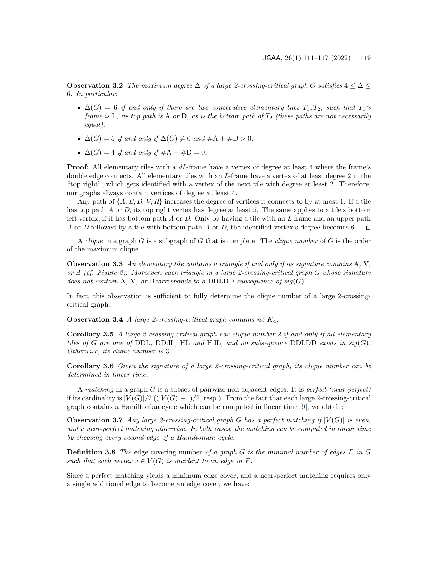Observation 3.2 The maximum degree  $\Delta$  of a large 2-crossing-critical graph G satisfies  $4 \leq \Delta \leq$ 6. In particular:

- $\Delta(G) = 6$  if and only if there are two consecutive elementary tiles  $T_1, T_2$ , such that  $T_1$ 's frame is L, its top path is A or D, as is the bottom path of  $T_2$  (these paths are not necessarily equal).
- $\blacktriangle$   $\Delta(G) = 5$  if and only if  $\Delta(G) \neq 6$  and  $\#A + \#D > 0$ .
- $\Delta(G) = 4$  if and only if  $#A + #D = 0$ .

**Proof:** All elementary tiles with a dL-frame have a vertex of degree at least 4 where the frame's double edge connects. All elementary tiles with an L-frame have a vertex of at least degree 2 in the "top right", which gets identified with a vertex of the next tile with degree at least 2. Therefore, our graphs always contain vertices of degree at least 4.

Any path of  $\{A, B, D, V, H\}$  increases the degree of vertices it connects to by at most 1. If a tile has top path A or D, its top right vertex has degree at least 5. The same applies to a tile's bottom left vertex, if it has bottom path A or D. Only by having a tile with an  $L$  frame and an upper path A or D followed by a tile with bottom path A or D, the identified vertex's degree becomes 6.  $\square$ 

A clique in a graph  $G$  is a subgraph of  $G$  that is complete. The clique number of  $G$  is the order of the maximum clique.

<span id="page-8-2"></span>**Observation 3.3** An elementary tile contains a triangle if and only if its signature contains  $A, V$ , or B (cf. Figure [2\)](#page-5-0). Moreover, each triangle in a large 2-crossing-critical graph G whose signature does not contain A, V, or Bcorresponds to a DDLDD-subsequence of  $sig(G)$ .

In fact, this observation is sufficient to fully determine the clique number of a large 2-crossingcritical graph.

**Observation 3.4** A large 2-crossing-critical graph contains no  $K_4$ .

<span id="page-8-0"></span>**Corollary 3.5** A large 2-crossing-critical graph has clique number 2 if and only if all elementary tiles of G are one of DDL, DDdL, HL and HdL, and no subsequence DDLDD exists in  $sig(G)$ . Otherwise, its clique number is 3.

Corollary 3.6 Given the signature of a large 2-crossing-critical graph, its clique number can be determined in linear time.

A matching in a graph  $G$  is a subset of pairwise non-adjacent edges. It is *perfect* (near-perfect) if its cardinality is  $|V(G)|/2$  (( $|V(G)|-1$ )/2, resp.). From the fact that each large 2-crossing-critical graph contains a Hamiltonian cycle which can be computed in linear time [\[9\]](#page-25-5), we obtain:

<span id="page-8-1"></span>**Observation 3.7** Any large 2-crossing-critical graph G has a perfect matching if  $|V(G)|$  is even, and a near-perfect matching otherwise. In both cases, the matching can be computed in linear time by choosing every second edge of a Hamiltonian cycle.

**Definition 3.8** The edge covering number of a graph  $G$  is the minimal number of edges  $F$  in  $G$ such that each vertex  $v \in V(G)$  is incident to an edge in F.

Since a perfect matching yields a minimum edge cover, and a near-perfect matching requires only a single additional edge to become an edge cover, we have: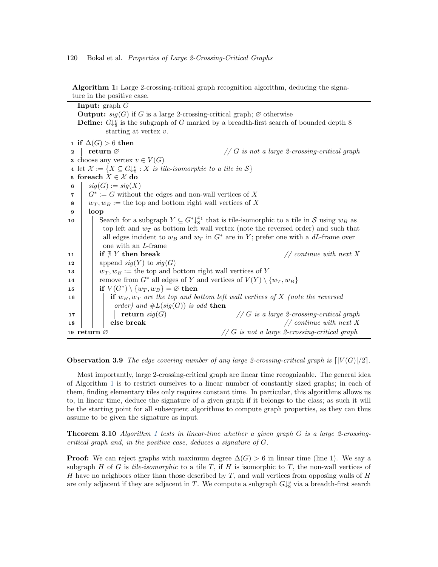Algorithm 1: Large 2-crossing-critical graph recognition algorithm, deducing the signature in the positive case.

|              | <b>Input:</b> graph $G$                                                                                                     |  |  |  |  |  |
|--------------|-----------------------------------------------------------------------------------------------------------------------------|--|--|--|--|--|
|              | <b>Output:</b> $sig(G)$ if G is a large 2-crossing-critical graph; $\emptyset$ otherwise                                    |  |  |  |  |  |
|              | <b>Define:</b> $G\downarrow^v_8$ is the subgraph of G marked by a breadth-first search of bounded depth 8                   |  |  |  |  |  |
|              | starting at vertex $v$ .                                                                                                    |  |  |  |  |  |
|              |                                                                                                                             |  |  |  |  |  |
|              | 1 if $\Delta(G) > 6$ then                                                                                                   |  |  |  |  |  |
| $\mathbf{2}$ | return $\varnothing$<br>$// G$ is not a large 2-crossing-critical graph                                                     |  |  |  |  |  |
|              | <b>3</b> choose any vertex $v \in V(G)$                                                                                     |  |  |  |  |  |
|              | 4 let $\mathcal{X} := \{ X \subseteq G \downarrow^v_s : X \text{ is tile-isomorphic to a tile in } \mathcal{S} \}$          |  |  |  |  |  |
|              | 5 foreach $X \in \mathcal{X}$ do                                                                                            |  |  |  |  |  |
| 6            | $sig(G) := sig(X)$                                                                                                          |  |  |  |  |  |
| 7            | $G^* := G$ without the edges and non-wall vertices of X                                                                     |  |  |  |  |  |
| 8            | $w_T, w_B :=$ the top and bottom right wall vertices of X                                                                   |  |  |  |  |  |
| 9            | loop                                                                                                                        |  |  |  |  |  |
| 10           | Search for a subgraph $Y \subseteq G^*\downarrow^{\mathcal{X}_1}_{8}$ that is tile-isomorphic to a tile in S using $w_B$ as |  |  |  |  |  |
|              | top left and $w_T$ as bottom left wall vertex (note the reversed order) and such that                                       |  |  |  |  |  |
|              | all edges incident to $w_B$ and $w_T$ in $G^*$ are in Y; prefer one with a dL-frame over                                    |  |  |  |  |  |
|              | one with an L-frame                                                                                                         |  |  |  |  |  |
| 11           | if $\sharp$ Y then break<br>// continue with next $X$                                                                       |  |  |  |  |  |
| 12           | append $sig(Y)$ to $sig(G)$                                                                                                 |  |  |  |  |  |
| 13           | $w_T, w_B :=$ the top and bottom right wall vertices of Y                                                                   |  |  |  |  |  |
| 14           | remove from $G^*$ all edges of Y and vertices of $V(Y) \setminus \{w_T, w_B\}$                                              |  |  |  |  |  |
| 15           | if $V(G^*) \setminus \{w_T, w_B\} = \emptyset$ then                                                                         |  |  |  |  |  |
| 16           | if $w_B, w_T$ are the top and bottom left wall vertices of X (note the reversed                                             |  |  |  |  |  |
|              | order) and $\#L(sign(G))$ is odd then                                                                                       |  |  |  |  |  |
| 17           | $// G is a large 2-crossing-critical graph$<br>return $sig(G)$                                                              |  |  |  |  |  |
| 18           | // continue with next X<br>else break                                                                                       |  |  |  |  |  |
|              | $// G$ is not a large 2-crossing-critical graph<br>19 return $\varnothing$                                                  |  |  |  |  |  |
|              |                                                                                                                             |  |  |  |  |  |

<span id="page-9-0"></span>**Observation 3.9** The edge covering number of any large 2-crossing-critical graph is  $\lceil |V(G)|/2 \rceil$ .

Most importantly, large 2-crossing-critical graph are linear time recognizable. The general idea of Algorithm [1](#page-9-0) is to restrict ourselves to a linear number of constantly sized graphs; in each of them, finding elementary tiles only requires constant time. In particular, this algorithms allows us to, in linear time, deduce the signature of a given graph if it belongs to the class; as such it will be the starting point for all subsequent algorithms to compute graph properties, as they can thus assume to be given the signature as input.

**Theorem 3.[1](#page-9-0)0** Algorithm 1 tests in linear-time whether a given graph  $G$  is a large 2-crossingcritical graph and, in the positive case, deduces a signature of G.

**Proof:** We can reject graphs with maximum degree  $\Delta(G) > 6$  in linear time (line 1). We say a subgraph H of G is tile-isomorphic to a tile T, if H is isomorphic to T, the non-wall vertices of H have no neighbors other than those described by  $T$ , and wall vertices from opposing walls of  $H$ are only adjacent if they are adjacent in T. We compute a subgraph  $G\downarrow^v_8$  via a breadth-first search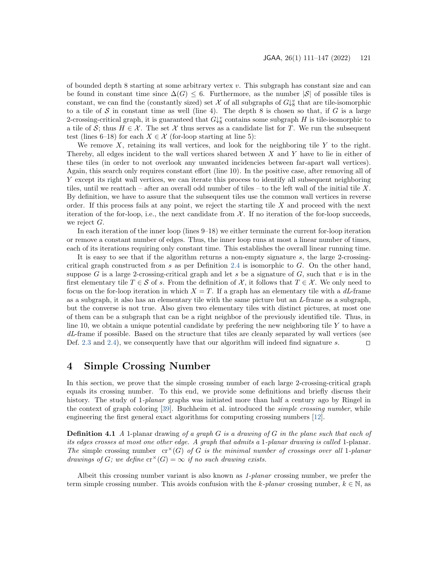of bounded depth 8 starting at some arbitrary vertex  $v$ . This subgraph has constant size and can be found in constant time since  $\Delta(G) \leq 6$ . Furthermore, as the number  $|\mathcal{S}|$  of possible tiles is constant, we can find the (constantly sized) set  $\mathcal X$  of all subgraphs of  $G\downarrow^v_8$  that are tile-isomorphic to a tile of S in constant time as well (line 4). The depth 8 is chosen so that, if G is a large 2-crossing-critical graph, it is guaranteed that  $G\downarrow^v_8$  contains some subgraph H is tile-isomorphic to a tile of S; thus  $H \in \mathcal{X}$ . The set X thus serves as a candidate list for T. We run the subsequent test (lines 6–18) for each  $X \in \mathcal{X}$  (for-loop starting at line 5):

We remove X, retaining its wall vertices, and look for the neighboring tile Y to the right. Thereby, all edges incident to the wall vertices shared between  $X$  and  $Y$  have to lie in either of these tiles (in order to not overlook any unwanted incidencies between far-apart wall vertices). Again, this search only requires constant effort (line 10). In the positive case, after removing all of Y except its right wall vertices, we can iterate this process to identify all subsequent neighboring tiles, until we reattach – after an overall odd number of tiles – to the left wall of the initial tile  $X$ . By definition, we have to assure that the subsequent tiles use the common wall vertices in reverse order. If this process fails at any point, we reject the starting tile  $X$  and proceed with the next iteration of the for-loop, i.e., the next candidate from  $\mathcal{X}$ . If no iteration of the for-loop succeeds, we reject G.

In each iteration of the inner loop (lines 9–18) we either terminate the current for-loop iteration or remove a constant number of edges. Thus, the inner loop runs at most a linear number of times, each of its iterations requiring only constant time. This establishes the overall linear running time.

It is easy to see that if the algorithm returns a non-empty signature  $s$ , the large 2-crossing-critical graph constructed from s as per Definition [2.4](#page-4-1) is isomorphic to  $G$ . On the other hand, suppose G is a large 2-crossing-critical graph and let s be a signature of G, such that v is in the first elementary tile  $T \in \mathcal{S}$  of s. From the definition of  $\mathcal{X}$ , it follows that  $T \in \mathcal{X}$ . We only need to focus on the for-loop iteration in which  $X = T$ . If a graph has an elementary tile with a dL-frame as a subgraph, it also has an elementary tile with the same picture but an  $L$ -frame as a subgraph, but the converse is not true. Also given two elementary tiles with distinct pictures, at most one of them can be a subgraph that can be a right neighbor of the previously identified tile. Thus, in line 10, we obtain a unique potential candidate by prefering the new neighboring tile  $Y$  to have a dL-frame if possible. Based on the structure that tiles are cleanly separated by wall vertices (see Def. [2.3](#page-3-0) and [2.4\)](#page-4-1), we consequently have that our algorithm will indeed find signature s.  $\Box$ 

### <span id="page-10-0"></span>4 Simple Crossing Number

In this section, we prove that the simple crossing number of each large 2-crossing-critical graph equals its crossing number. To this end, we provide some definitions and briefly discuss their history. The study of 1-*planar* graphs was initiated more than half a century ago by Ringel in the context of graph coloring [\[39\]](#page-27-8). Buchheim et al. introduced the simple crossing number, while engineering the first general exact algorithms for computing crossing numbers [\[12\]](#page-25-9).

**Definition 4.1** A 1-planar drawing of a graph  $G$  is a drawing of  $G$  in the plane such that each of its edges crosses at most one other edge. A graph that admits a 1-planar drawing is called 1-planar. The simple crossing number  $cr^*(G)$  of G is the minimal number of crossings over all 1-planar drawings of G; we define  $\mathrm{cr}^{\times}(G) = \infty$  if no such drawing exists.

Albeit this crossing number variant is also known as 1-planar crossing number, we prefer the term simple crossing number. This avoids confusion with the k-planar crossing number,  $k \in \mathbb{N}$ , as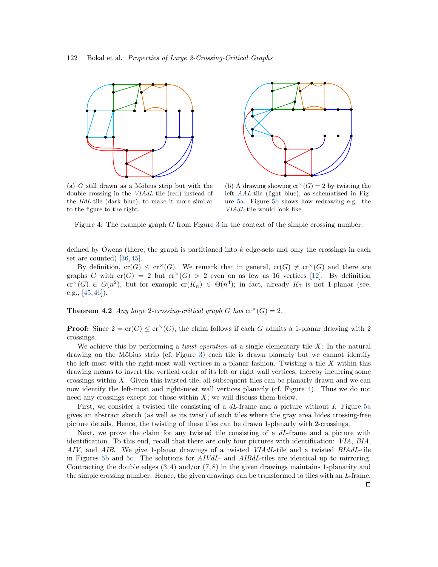<span id="page-11-1"></span>



(a)  $G$  still drawn as a Möbius strip but with the double crossing in the VIAdL-tile (red) instead of the HdL-tile (dark blue), to make it more similar to the figure to the right.

(b) A drawing showing  $cr^*(G) = 2$  by twisting the left AAL-tile (light blue), as schematized in Figure [5a.](#page-12-1) Figure [5b](#page-12-1) shows how redrawing e.g. the VIAdL-tile would look like.

Figure 4: The example graph G from Figure [3](#page-6-0) in the context of the simple crossing number.

defined by Owens (there, the graph is partitioned into  $k$  edge-sets and only the crossings in each set are counted) [\[36,](#page-27-9) [45\]](#page-27-10).

By definition,  $cr(G) \leq cr^{\times}(G)$ . We remark that in general,  $cr(G) \neq cr^{\times}(G)$  and there are graphs G with  $cr(G) = 2$  but  $cr^{(1)}(G) > 2$  even on as few as 16 vertices [\[12\]](#page-25-9). By definition  $\operatorname{cr}^{\times}(G) \in O(n^2)$ , but for example  $\operatorname{cr}(K_n) \in \Theta(n^4)$ ; in fact, already  $K_7$  is not 1-planar (see, e.g.,  $[45, 46]$  $[45, 46]$  $[45, 46]$ .

<span id="page-11-0"></span>**Theorem 4.2** Any large 2-crossing-critical graph G has  $\text{cr}^{\times}(G) = 2$ .

**Proof:** Since  $2 = \text{cr}(G) \leq \text{cr}^{\times}(G)$ , the claim follows if each G admits a 1-planar drawing with 2 crossings.

We achieve this by performing a *twist operation* at a single elementary tile  $X$ : In the natural drawing on the Möbius strip (cf. Figure [3\)](#page-6-0) each tile is drawn planarly but we cannot identify the left-most with the right-most wall vertices in a planar fashion. Twisting a tile  $X$  within this drawing means to invert the vertical order of its left or right wall vertices, thereby incurring some crossings within  $X$ . Given this twisted tile, all subsequent tiles can be planarly drawn and we can now identify the left-most and right-most wall vertices planarly (cf. Figure [4\)](#page-11-1). Thus we do not need any crossings except for those within  $X$ ; we will discuss them below.

First, we consider a twisted tile consisting of a  $dL$ -frame and a picture without I. Figure [5a](#page-12-1) gives an abstract sketch (as well as its twist) of such tiles where the gray area hides crossing-free picture details. Hence, the twisting of these tiles can be drawn 1-planarly with 2-crossings.

Next, we prove the claim for any twisted tile consisting of a dL-frame and a picture with identification. To this end, recall that there are only four pictures with identification: VIA, BIA, AIV, and AIB. We give 1-planar drawings of a twisted VIAdL-tile and a twisted BIAdL-tile in Figures [5b](#page-12-1) and [5c.](#page-12-1) The solutions for AIVdL- and AIBdL-tiles are identical up to mirroring. Contracting the double edges  $(3, 4)$  and/or  $(7, 8)$  in the given drawings maintains 1-planarity and the simple crossing number. Hence, the given drawings can be transformed to tiles with an L-frame.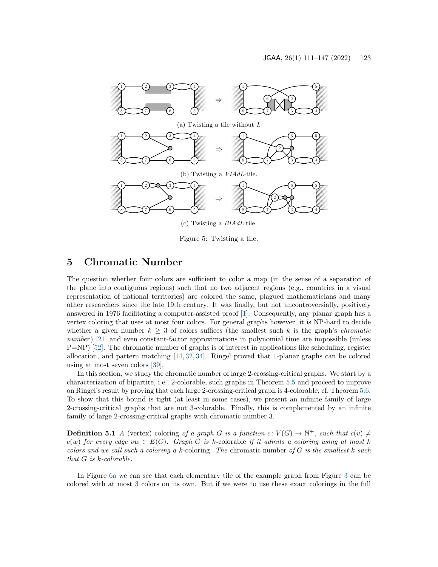<span id="page-12-1"></span>

Figure 5: Twisting a tile.

### <span id="page-12-0"></span>5 Chromatic Number

The question whether four colors are sufficient to color a map (in the sense of a separation of the plane into contiguous regions) such that no two adjacent regions (e.g., countries in a visual representation of national territories) are colored the same, plagued mathematicians and many other researchers since the late 19th century. It was finally, but not uncontroversially, positively answered in 1976 facilitating a computer-assisted proof [\[1\]](#page-24-1). Consequently, any planar graph has a vertex coloring that uses at most four colors. For general graphs however, it is NP-hard to decide whether a given number  $k \geq 3$  of colors suffices (the smallest such k is the graph's *chromatic*  $number$ ) [\[21\]](#page-26-9) and even constant-factor approximations in polynomial time are impossible (unless  $P=NP$ ) [\[52\]](#page-28-1). The chromatic number of graphs is of interest in applications like scheduling, register allocation, and pattern matching [\[14,](#page-25-10) [32,](#page-26-10) [34\]](#page-26-11). Ringel proved that 1-planar graphs can be colored using at most seven colors [\[39\]](#page-27-8).

In this section, we study the chromatic number of large 2-crossing-critical graphs. We start by a characterization of bipartite, i.e., 2-colorable, such graphs in Theorem [5.5](#page-15-0) and proceed to improve on Ringel's result by proving that each large 2-crossing-critical graph is 4-colorable, cf. Theorem [5.6.](#page-15-1) To show that this bound is tight (at least in some cases), we present an infinite family of large 2-crossing-critical graphs that are not 3-colorable. Finally, this is complemented by an infinite family of large 2-crossing-critical graphs with chromatic number 3.

**Definition 5.1** A (vertex) coloring of a graph G is a function  $c: V(G) \to \mathbb{N}^+$ , such that  $c(v) \neq$  $c(w)$  for every edge vw  $\in E(G)$ . Graph G is k-colorable if it admits a coloring using at most k colors and we call such a coloring a k-coloring. The chromatic number of  $G$  is the smallest k such that G is k-colorable.

In Figure [6a](#page-13-0) we can see that each elementary tile of the example graph from Figure [3](#page-6-0) can be colored with at most 3 colors on its own. But if we were to use these exact colorings in the full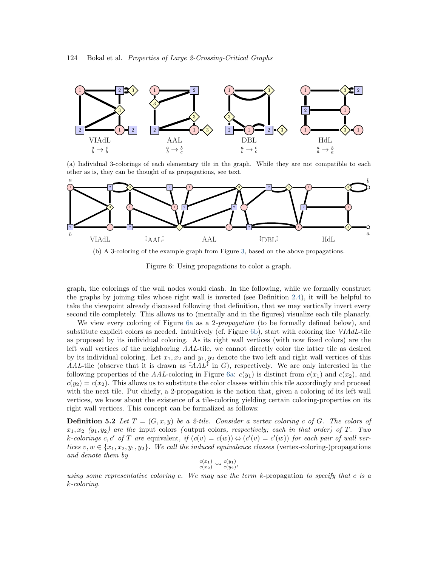<span id="page-13-0"></span>

(a) Individual 3-colorings of each elementary tile in the graph. While they are not compatible to each other as is, they can be thought of as propagations, see text.



(b) A 3-coloring of the example graph from Figure [3,](#page-6-0) based on the above propagations.

Figure 6: Using propagations to color a graph.

graph, the colorings of the wall nodes would clash. In the following, while we formally construct the graphs by joining tiles whose right wall is inverted (see Definition [2.4\)](#page-4-1), it will be helpful to take the viewpoint already discussed following that definition, that we may vertically invert every second tile completely. This allows us to (mentally and in the figures) visualize each tile planarly.

We view every coloring of Figure [6a](#page-13-0) as a 2-*propagation* (to be formally defined below), and substitute explicit colors as needed. Intuitively (cf. Figure [6b\)](#page-13-0), start with coloring the VIAdL-tile as proposed by its individual coloring. As its right wall vertices (with now fixed colors) are the left wall vertices of the neighboring AAL-tile, we cannot directly color the latter tile as desired by its individual coloring. Let  $x_1, x_2$  and  $y_1, y_2$  denote the two left and right wall vertices of this AAL-tile (observe that it is drawn as  $\lambda A L^{\updownarrow}$  in G), respectively. We are only interested in the following properties of the AAL-coloring in Figure [6a:](#page-13-0)  $c(y_1)$  is distinct from  $c(x_1)$  and  $c(x_2)$ , and  $c(y_2) = c(x_2)$ . This allows us to substitute the color classes within this tile accordingly and proceed with the next tile. Put chiefly, a 2-propagation is the notion that, given a coloring of its left wall vertices, we know about the existence of a tile-coloring yielding certain coloring-properties on its right wall vertices. This concept can be formalized as follows:

**Definition 5.2** Let  $T = (G, x, y)$  be a 2-tile. Consider a vertex coloring c of G. The colors of  $x_1, x_2 \ (y_1, y_2)$  are the input colors (output colors, respectively; each in that order) of T. Two k-colorings c, c' of T are equivalent, if  $(c(v) = c(w)) \Leftrightarrow (c'(v) = c'(w))$  for each pair of wall vertices  $v, w \in \{x_1, x_2, y_1, y_2\}$ . We call the induced equivalence classes (vertex-coloring-)propagations and denote them by

$$
\begin{array}{c}c(x_1)\\c(x_2)\end{array}\n\leadsto \begin{array}{c}c(y_1)\\c(y_2)\end{array},
$$

using some representative coloring c. We may use the term  $k$ -propagation to specify that c is a k-coloring.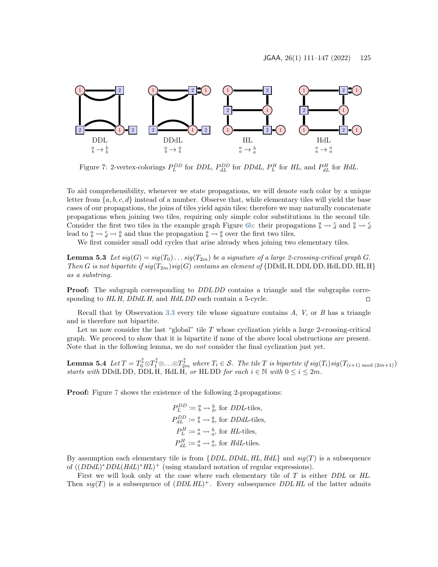<span id="page-14-0"></span>

Figure 7: 2-vertex-colorings  $P_L^{DD}$  for DDL,  $P_{dL}^{DD}$  for DDdL,  $P_L^H$  for HL, and  $P_{dL}^H$  for HdL.

To aid comprehensibility, whenever we state propagations, we will denote each color by a unique letter from  $\{a, b, c, d\}$  instead of a number. Observe that, while elementary tiles will yield the base cases of our propagations, the joins of tiles yield again tiles; therefore we may naturally concatenate propagations when joining two tiles, requiring only simple color substitutions in the second tile. Consider the first two tiles in the example graph Figure [6b:](#page-13-0) their propagations  $\frac{a}{b} \leadsto \frac{c}{d}$  and  $\frac{a}{b} \leadsto \frac{c}{d}$ lead to  $\frac{a}{b} \leadsto \frac{c}{d} \leadsto \frac{a}{b}$  and thus the propagation  $\frac{a}{b} \leadsto \frac{a}{b}$  over the first two tiles.

We first consider small odd cycles that arise already when joining two elementary tiles.

<span id="page-14-1"></span>**Lemma 5.3** Let  $sig(G) = sig(T_0) \dots sig(T_{2m})$  be a signature of a large 2-crossing-critical graph G. Then G is not bipartite if  $sig(T_{2m})sig(G)$  contains an element of {DDdL H, DDL DD, HdL DD, HL H} as a substring.

**Proof:** The subgraph corresponding to *DDL DD* contains a triangle and the subgraphs corresponding to  $HLH$ ,  $DDdLH$ , and  $HdL$  DD each contain a 5-cycle.

Recall that by Observation [3.3](#page-8-2) every tile whose signature contains  $A$ ,  $V$ , or  $B$  has a triangle and is therefore not bipartite.

Let us now consider the last "global" tile  $T$  whose cyclization yields a large 2-crossing-critical graph. We proceed to show that it is bipartite if none of the above local obstructions are present. Note that in the following lemma, we do not consider the final cyclization just yet.

<span id="page-14-2"></span>**Lemma 5.4** Let  $T = T_0^{\uparrow} \otimes T_1^{\uparrow} \otimes \ldots \otimes T_{2m}^{\uparrow}$  where  $T_i \in \mathcal{S}$ . The tile T is bipartite if  $sig(T_i)sig(T_{(i+1) \text{ mod } (2m+1)})$ starts with DDdL DD, DDL H, HdL H, or HL DD for each  $i \in \mathbb{N}$  with  $0 \le i \le 2m$ .

**Proof:** Figure [7](#page-14-0) shows the existence of the following 2-propagations:

$$
P_L^{DD} := \frac{a}{b} \leadsto \frac{b}{b}
$$
, for *DDL*-tiles,  
\n
$$
P_{dL}^{DD} := \frac{a}{b} \leadsto \frac{a}{b}
$$
, for *DDdL*-tiles,  
\n
$$
P_L^H := \frac{a}{a} \leadsto \frac{b}{a}
$$
, for *HL*-tiles,  
\n
$$
P_{dL}^H := \frac{a}{a} \leadsto \frac{a}{a}
$$
, for *HdL*-tiles.

By assumption each elementary tile is from  $\{DDL, DDL, HLL, HdL\}$  and  $sig(T)$  is a subsequence of  $((DDdL)^* DDL(HdL)^* HL)^+$  (using standard notation of regular expressions).

First we will look only at the case where each elementary tile of T is either DDL or HL. Then  $sig(T)$  is a subsequence of  $(DDL HL)^+$ . Every subsequence DDL HL of the latter admits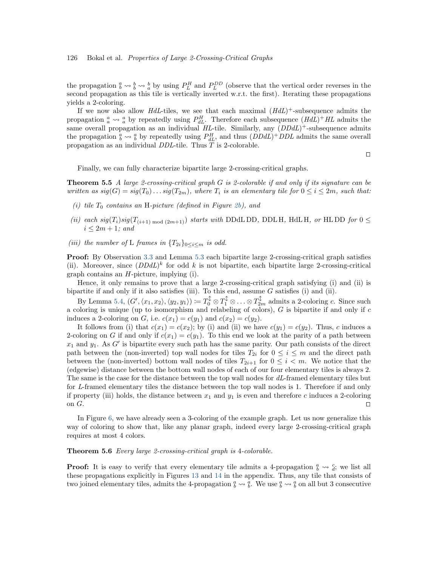the propagation  $\frac{a}{b} \leadsto \frac{b}{a}$  by using  $P_L^H$  and  $P_L^{DD}$  (observe that the vertical order reverses in the second propagation as this tile is vertically inverted w.r.t. the first). Iterating these propagations yields a 2-coloring.

If we now also allow  $HdL$ -tiles, we see that each maximal  $(HdL)^+$ -subsequence admits the propagation  $\frac{a}{a} \leadsto \frac{a}{a}$  by repeatedly using  $P_{dL}^H$ . Therefore each subsequence  $(HdL)^+HL$  admits the same overall propagation as an individual  $HL$ -tile. Similarly, any  $(DDdL)^+$ -subsequence admits the propagation  $\frac{a}{b} \leadsto \frac{a}{b}$  by repeatedly using  $P_{dL}^H$ , and thus  $(DDdL)^+ DDL$  admits the same overall propagation as an individual DDL-tile. Thus T is 2-colorable.

<span id="page-15-0"></span> $\Box$ 

Finally, we can fully characterize bipartite large 2-crossing-critical graphs.

**Theorem 5.5** A large 2-crossing-critical graph  $G$  is 2-colorable if and only if its signature can be written as  $sig(G) = sig(T_0) \dots sig(T_{2m})$ , where  $T_i$  is an elementary tile for  $0 \leq i \leq 2m$ , such that:

- (i) tile  $T_0$  contains an H-picture (defined in Figure [2b\)](#page-5-0), and
- (ii) each  $sig(T_i)sig(T_{(i+1) \text{ mod } (2m+1)})$  starts with DDdL DD, DDL H, HdL H, or HL DD for  $0 \le$  $i \leq 2m + 1$ ; and
- (iii) the number of L frames in  ${T_{2i}}_{0 \leq i \leq m}$  is odd.

Proof: By Observation [3.3](#page-8-2) and Lemma [5.3](#page-14-1) each bipartite large 2-crossing-critical graph satisfies (ii). Moreover, since  $(DDdL)^k$  for odd k is not bipartite, each bipartite large 2-crossing-critical graph contains an H-picture, implying (i).

Hence, it only remains to prove that a large 2-crossing-critical graph satisfying (i) and (ii) is bipartite if and only if it also satisfies (iii). To this end, assume  $G$  satisfies (i) and (ii).

By Lemma [5.4,](#page-14-2)  $(G', \langle x_1, x_2 \rangle, \langle y_2, y_1 \rangle) := T_0^{\updownarrow} \otimes T_1^{\updownarrow} \otimes \ldots \otimes T_{2m}^{\updownarrow}$  admits a 2-coloring c. Since such a coloring is unique (up to isomorphism and relabeling of colors),  $G$  is bipartite if and only if  $c$ induces a 2-coloring on G, i.e.  $c(x_1) = c(y_1)$  and  $c(x_2) = c(y_2)$ .

It follows from (i) that  $c(x_1) = c(x_2)$ ; by (i) and (ii) we have  $c(y_1) = c(y_2)$ . Thus, c induces a 2-coloring on G if and only if  $c(x_1) = c(y_1)$ . To this end we look at the parity of a path between  $x_1$  and  $y_1$ . As G' is bipartite every such path has the same parity. Our path consists of the direct path between the (non-inverted) top wall nodes for tiles  $T_{2i}$  for  $0 \leq i \leq m$  and the direct path between the (non-inverted) bottom wall nodes of tiles  $T_{2i+1}$  for  $0 \leq i \leq m$ . We notice that the (edgewise) distance between the bottom wall nodes of each of our four elementary tiles is always 2. The same is the case for the distance between the top wall nodes for dL-framed elementary tiles but for L-framed elementary tiles the distance between the top wall nodes is 1. Therefore if and only if property (iii) holds, the distance between  $x_1$  and  $y_1$  is even and therefore c induces a 2-coloring on  $G$ .

In Figure [6,](#page-13-0) we have already seen a 3-coloring of the example graph. Let us now generalize this way of coloring to show that, like any planar graph, indeed every large 2-crossing-critical graph requires at most 4 colors.

#### <span id="page-15-1"></span>Theorem 5.6 Every large 2-crossing-critical graph is 4-colorable.

**Proof:** It is easy to verify that every elementary tile admits a 4-propagation  $\frac{a}{b} \rightsquigarrow \frac{c}{d}$ ; we list all these propagations explicitly in Figures [13](#page-29-0) and [14](#page-31-0) in the appendix. Thus, any tile that consists of two joined elementary tiles, admits the 4-propagation  $\frac{a}{b} \leadsto \frac{a}{b}$ . We use  $\frac{a}{b} \leadsto \frac{a}{b}$  on all but 3 consecutive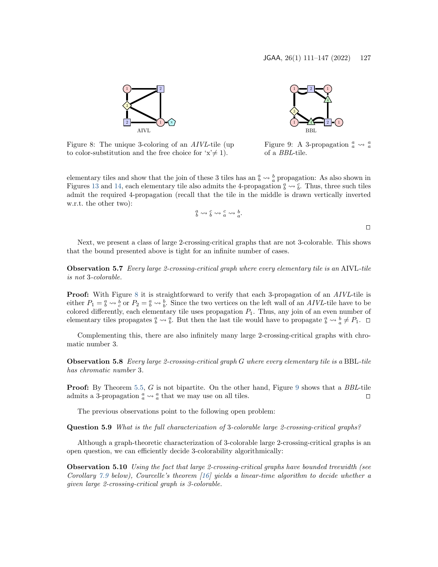<span id="page-16-0"></span>

Figure 8: The unique 3-coloring of an AIVL-tile (up to color-substitution and the free choice for  $x \neq 1$ .



Figure 9: A 3-propagation  $\frac{a}{a} \leadsto \frac{a}{a}$ of a BBL-tile.

elementary tiles and show that the join of these 3 tiles has an  $\frac{a}{b} \leadsto \frac{b}{a}$  propagation: As also shown in Figures [13](#page-29-0) and [14,](#page-31-0) each elementary tile also admits the 4-propagation  $\frac{a}{b} \leadsto \frac{c}{b}$ . Thus, three such tiles admit the required 4-propagation (recall that the tile in the middle is drawn vertically inverted w.r.t. the other two):

$$
\frac{a}{b} \leadsto \frac{c}{b} \leadsto \frac{c}{a} \leadsto \frac{b}{a}.
$$

 $\Box$ 

Next, we present a class of large 2-crossing-critical graphs that are not 3-colorable. This shows that the bound presented above is tight for an infinite number of cases.

Observation 5.7 Every large 2-crossing-critical graph where every elementary tile is an AIVL-tile is not 3-colorable.

**Proof:** With Figure [8](#page-16-0) it is straightforward to verify that each 3-propagation of an *AIVL*-tile is either  $P_1 = \frac{a}{b} \leadsto \frac{b}{c}$  or  $P_2 = \frac{a}{b} \leadsto \frac{b}{b}$ . Since the two vertices on the left wall of an AIVL-tile have to be colored differently, each elementary tile uses propagation  $P_1$ . Thus, any join of an even number of elementary tiles propagates  $\frac{a}{b} \leadsto \frac{a}{b}$ . But then the last tile would have to propagate  $\frac{a}{b} \leadsto \frac{b}{a} \neq P_1$ .

Complementing this, there are also infinitely many large 2-crossing-critical graphs with chromatic number 3.

Observation 5.8 Every large 2-crossing-critical graph G where every elementary tile is a BBL-tile has chromatic number 3.

**Proof:** By Theorem [5.5,](#page-15-0) G is not bipartite. On the other hand, Figure [9](#page-16-0) shows that a BBL-tile admits a 3-propagation  $\frac{a}{a} \leadsto \frac{a}{a}$  that we may use on all tiles.

<span id="page-16-1"></span>The previous observations point to the following open problem:

Question 5.9 What is the full characterization of 3-colorable large 2-crossing-critical graphs?

Although a graph-theoretic characterization of 3-colorable large 2-crossing-critical graphs is an open question, we can efficiently decide 3-colorability algorithmically:

Observation 5.10 Using the fact that large 2-crossing-critical graphs have bounded treewidth (see Corollary [7.9](#page-23-0) below), Courcelle's theorem [\[16\]](#page-25-11) yields a linear-time algorithm to decide whether a given large 2-crossing-critical graph is 3-colorable.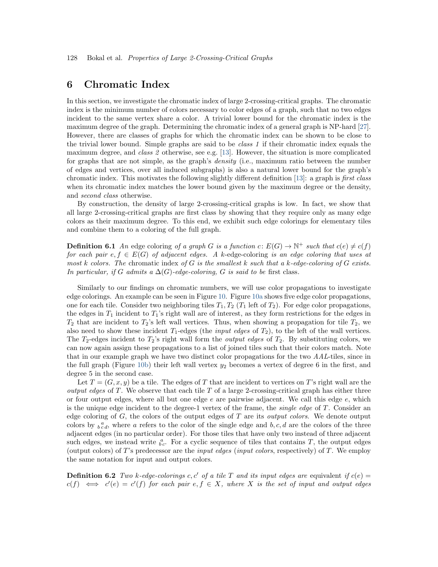### <span id="page-17-0"></span>6 Chromatic Index

In this section, we investigate the chromatic index of large 2-crossing-critical graphs. The chromatic index is the minimum number of colors necessary to color edges of a graph, such that no two edges incident to the same vertex share a color. A trivial lower bound for the chromatic index is the maximum degree of the graph. Determining the chromatic index of a general graph is NP-hard [\[27\]](#page-26-12). However, there are classes of graphs for which the chromatic index can be shown to be close to the trivial lower bound. Simple graphs are said to be class 1 if their chromatic index equals the maximum degree, and class 2 otherwise, see e.g. [\[13\]](#page-25-12). However, the situation is more complicated for graphs that are not simple, as the graph's density (i.e., maximum ratio between the number of edges and vertices, over all induced subgraphs) is also a natural lower bound for the graph's chromatic index. This motivates the following slightly different definition [\[13\]](#page-25-12): a graph is first class when its chromatic index matches the lower bound given by the maximum degree or the density, and second class otherwise.

By construction, the density of large 2-crossing-critical graphs is low. In fact, we show that all large 2-crossing-critical graphs are first class by showing that they require only as many edge colors as their maximum degree. To this end, we exhibit such edge colorings for elementary tiles and combine them to a coloring of the full graph.

**Definition 6.1** An edge coloring of a graph G is a function  $c: E(G) \to \mathbb{N}^+$  such that  $c(e) \neq c(f)$ for each pair  $e, f \in E(G)$  of adjacent edges. A k-edge-coloring is an edge coloring that uses at most k colors. The chromatic index of G is the smallest k such that a k-edge-coloring of G exists. In particular, if G admits a  $\Delta(G)$ -edge-coloring, G is said to be first class.

Similarly to our findings on chromatic numbers, we will use color propagations to investigate edge colorings. An example can be seen in Figure [10.](#page-18-0) Figure [10a](#page-18-0) shows five edge color propagations, one for each tile. Consider two neighboring tiles  $T_1, T_2$  ( $T_1$  left of  $T_2$ ). For edge color propagations, the edges in  $T_1$  incident to  $T_1$ 's right wall are of interest, as they form restrictions for the edges in  $T_2$  that are incident to  $T_2$ 's left wall vertices. Thus, when showing a propagation for tile  $T_2$ , we also need to show these incident  $T_1$ -edges (the *input edges* of  $T_2$ ), to the left of the wall vertices. The  $T_2$ -edges incident to  $T_2$ 's right wall form the *output edges* of  $T_2$ . By substituting colors, we can now again assign these propagations to a list of joined tiles such that their colors match. Note that in our example graph we have two distinct color propagations for the two AAL-tiles, since in the full graph (Figure [10b\)](#page-18-0) their left wall vertex  $y_2$  becomes a vertex of degree 6 in the first, and degree 5 in the second case.

Let  $T = (G, x, y)$  be a tile. The edges of T that are incident to vertices on T's right wall are the *output edges* of T. We observe that each tile T of a large 2-crossing-critical graph has either three or four output edges, where all but one edge  $e$  are pairwise adjacent. We call this edge  $e$ , which is the unique edge incident to the degree-1 vertex of the frame, the *single edge* of  $T$ . Consider an edge coloring of  $G$ , the colors of the output edges of  $T$  are its *output colors*. We denote output colors by  $b^a_{cd}$ , where a refers to the color of the single edge and  $b, c, d$  are the colors of the three adjacent edges (in no particular order). For those tiles that have only two instead of three adjacent such edges, we instead write  $\frac{a}{bc}$ . For a cyclic sequence of tiles that contains T, the output edges (output colors) of T's predecessor are the *input edges (input colors*, respectively) of T. We employ the same notation for input and output colors.

**Definition 6.2** Two k-edge-colorings c, c' of a tile T and its input edges are equivalent if  $c(e)$  $c(f) \iff c'(e) = c'(f)$  for each pair  $e, f \in X$ , where X is the set of input and output edges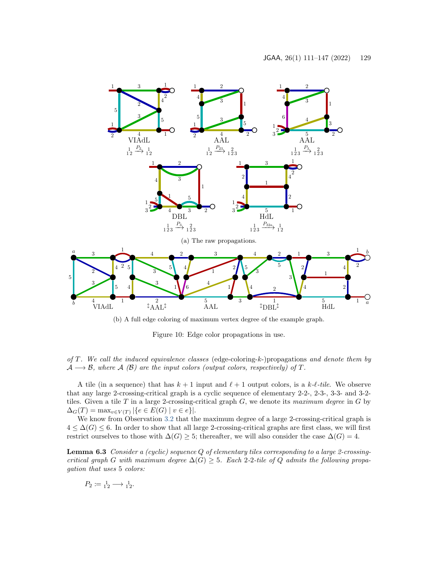<span id="page-18-0"></span>

(b) A full edge coloring of maximum vertex degree of the example graph.

Figure 10: Edge color propagations in use.

of T. We call the induced equivalence classes (edge-coloring-k-)propagations and denote them by  $A \longrightarrow B$ , where A (B) are the input colors (output colors, respectively) of T.

A tile (in a sequence) that has  $k + 1$  input and  $\ell + 1$  output colors, is a  $k$ - $\ell$ -tile. We observe that any large 2-crossing-critical graph is a cyclic sequence of elementary 2-2-, 2-3-, 3-3- and 3-2 tiles. Given a tile T in a large 2-crossing-critical graph  $G$ , we denote its maximum degree in G by  $\Delta_G(T) = \max_{v \in V(T)} |\{e \in E(G) \mid v \in e\}|.$ 

We know from Observation [3.2](#page-7-1) that the maximum degree of a large 2-crossing-critical graph is  $4 \leq \Delta(G) \leq 6$ . In order to show that all large 2-crossing-critical graphs are first class, we will first restrict ourselves to those with  $\Delta(G) \geq 5$ ; thereafter, we will also consider the case  $\Delta(G) = 4$ .

Lemma 6.3 Consider a (cyclic) sequence Q of elementary tiles corresponding to a large 2-crossingcritical graph G with maximum degree  $\Delta(G) \geq 5$ . Each 2-2-tile of Q admits the following propagation that uses 5 colors:

$$
P_2 \coloneqq \mathbf{1}_2 \longrightarrow \mathbf{1}_2.
$$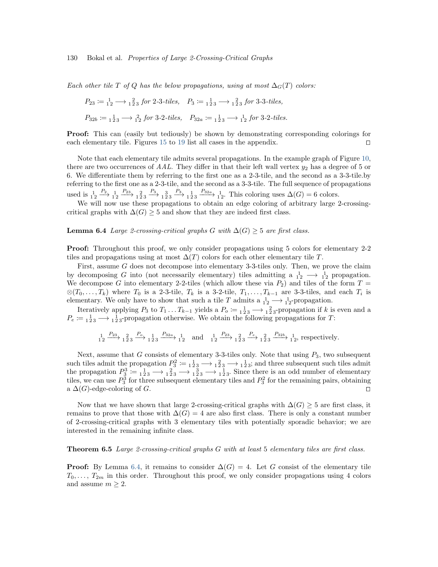Each other tile T of Q has the below propagations, using at most  $\Delta_G(T)$  colors:

$$
P_{23} := \frac{1}{12} \longrightarrow \frac{2}{123} \text{ for 2-3-tiles}, \quad P_3 := \frac{1}{123} \longrightarrow \frac{2}{123} \text{ for 3-3-tiles},
$$
  

$$
P_{32b} := \frac{1}{123} \longrightarrow \frac{2}{12} \text{ for 3-2-tiles}, \quad P_{32a} := \frac{1}{123} \longrightarrow \frac{1}{12} \text{ for 3-2-tiles}.
$$

**Proof:** This can (easily but tediously) be shown by demonstrating corresponding colorings for each elementary tile. Figures [15](#page-30-0) to [19](#page-35-0) list all cases in the appendix.  $\Box$ 

Note that each elementary tile admits several propagations. In the example graph of Figure [10,](#page-18-0) there are two occurrences of  $AAL$ . They differ in that their left wall vertex  $y_2$  has a degree of 5 or 6. We differentiate them by referring to the first one as a 2-3-tile, and the second as a 3-3-tile.by referring to the first one as a 2-3-tile, and the second as a 3-3-tile. The full sequence of propagations used is  $\frac{1}{12} \xrightarrow{P_2} \frac{1}{12} \xrightarrow{P_{33}} \frac{1}{123} \xrightarrow{P_3} \frac{1}{123} \xrightarrow{P_{32a}} \frac{1}{12}$ . This coloring uses  $\Delta(G) = 6$  colors.

We will now use these propagations to obtain an edge coloring of arbitrary large 2-crossingcritical graphs with  $\Delta(G) \geq 5$  and show that they are indeed first class.

#### <span id="page-19-1"></span>**Lemma 6.4** Large 2-crossing-critical graphs G with  $\Delta(G) \geq 5$  are first class.

Proof: Throughout this proof, we only consider propagations using 5 colors for elementary 2-2 tiles and propagations using at most  $\Delta(T)$  colors for each other elementary tile T.

First, assume G does not decompose into elementary 3-3-tiles only. Then, we prove the claim by decomposing G into (not necessarily elementary) tiles admitting a  $1/2 \rightarrow 1/2$  propagation. We decompose G into elementary 2-2-tiles (which allow these via  $P_2$ ) and tiles of the form  $T =$ ⊗ $(T_0, \ldots, T_k)$  where  $T_0$  is a 2-3-tile,  $T_k$  is a 3-2-tile,  $T_1, \ldots, T_{k-1}$  are 3-3-tiles, and each  $T_i$  is elementary. We only have to show that such a tile T admits a  $1 \text{ N} \longrightarrow 1 \text{ N}$ -propagation.

Iteratively applying  $P_3$  to  $T_1 \ldots T_{k-1}$  yields a  $P_0 := \frac{1}{123} \longrightarrow \frac{2}{123}$ -propagation if k is even and a  $P_e \coloneqq \frac{1}{123} \longrightarrow \frac{1}{123}$ -propagation otherwise. We obtain the following propagations for T:

$$
1_2 \xrightarrow{P_{23}} 1_2^2 3 \xrightarrow{P_0} 1_2^1 3 \xrightarrow{P_{32a}} 1_2
$$
 and  $1_2 \xrightarrow{P_{23}} 1_2^2 3 \xrightarrow{P_e} 1_2^2 3 \xrightarrow{P_{32b}} 1_2^1$ , respectively.

Next, assume that G consists of elementary 3-3-tiles only. Note that using  $P_3$ , two subsequent such tiles admit the propagation  $P_3^2 := \frac{1}{2} \cdot \frac{1}{3} \rightarrow \frac{1}{2} \cdot \frac{1}{3} \rightarrow \frac{1}{1} \cdot \frac{1}{2} \cdot \frac{1}{3}$ ; and three subsequent such tiles admit the propagation  $P_3^3 := \frac{1}{123} \longrightarrow \frac{2}{123} \longrightarrow \frac{3}{123} \longrightarrow \frac{1}{23}$ . Since there is an odd number of elementary tiles, we can use  $P_3^3$  for three subsequent elementary tiles and  $P_3^2$  for the remaining pairs, obtaining a  $\Delta(G)$ -edge-coloring of G.

Now that we have shown that large 2-crossing-critical graphs with  $\Delta(G) \geq 5$  are first class, it remains to prove that those with  $\Delta(G) = 4$  are also first class. There is only a constant number of 2-crossing-critical graphs with 3 elementary tiles with potentially sporadic behavior; we are interested in the remaining infinite class.

#### <span id="page-19-0"></span>**Theorem 6.5** Large 2-crossing-critical graphs  $G$  with at least 5 elementary tiles are first class.

**Proof:** By Lemma [6.4,](#page-19-1) it remains to consider  $\Delta(G) = 4$ . Let G consist of the elementary tile  $T_0, \ldots, T_{2m}$  in this order. Throughout this proof, we only consider propagations using 4 colors and assume  $m \geq 2$ .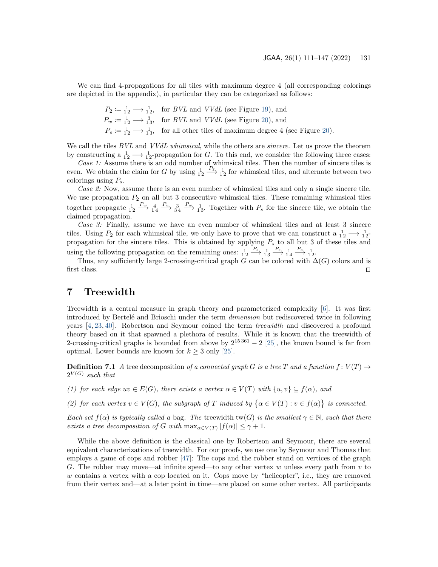We can find 4-propagations for all tiles with maximum degree 4 (all corresponding colorings are depicted in the appendix), in particular they can be categorized as follows:

$$
P_2 := \frac{1}{12} \longrightarrow \frac{1}{12}
$$
, for *BVL* and *VVdL* (see Figure 19), and  $P_w := \frac{1}{12} \longrightarrow \frac{3}{13}$ , for *BVL* and *VVdL* (see Figure 20), and  $P_s := \frac{1}{12} \longrightarrow \frac{1}{13}$ , for all other tiles of maximum degree 4 (see Figure 20).

We call the tiles  $BVL$  and  $VVdL$  whimsical, while the others are *sincere*. Let us prove the theorem by constructing a  $_1^1_2 \longrightarrow \frac{1}{12}$ -propagation for G. To this end, we consider the following three cases:

Case 1: Assume there is an odd number of whimsical tiles. Then the number of sincere tiles is even. We obtain the claim for G by using  $\frac{1}{12} \xrightarrow{P_2} \frac{1}{12}$  for whimsical tiles, and alternate between two colorings using  $P_s$ .

Case 2: Now, assume there is an even number of whimsical tiles and only a single sincere tile. We use propagation  $P_2$  on all but 3 consecutive whimsical tiles. These remaining whimsical tiles together propagate  $\frac{1}{12} \xrightarrow{P_w} \frac{4}{14} \xrightarrow{P_w} \frac{3}{34} \xrightarrow{P_w} \frac{1}{13}$ . Together with  $P_s$  for the sincere tile, we obtain the claimed propagation.

Case 3: Finally, assume we have an even number of whimsical tiles and at least 3 sincere tiles. Using  $P_2$  for each whimsical tile, we only have to prove that we can construct a  $1 \text{m/s} \rightarrow 1 \text{m/s}$ propagation for the sincere tiles. This is obtained by applying  $P_s$  to all but 3 of these tiles and using the following propagation on the remaining ones:  $\frac{1}{12} \xrightarrow{P_s} \frac{1}{13} \xrightarrow{P_s} \frac{1}{14} \xrightarrow{P_s} \frac{1}{12}$ .

Thus, any sufficiently large 2-crossing-critical graph G can be colored with  $\Delta(G)$  colors and is first class.  $\square$ 

### <span id="page-20-0"></span>7 Treewidth

Treewidth is a central measure in graph theory and parameterized complexity [\[6\]](#page-25-13). It was first introduced by Bertelé and Brioschi under the term *dimension* but rediscovered twice in following years [\[4,](#page-24-2) [23,](#page-26-13) [40\]](#page-27-11). Robertson and Seymour coined the term treewidth and discovered a profound theory based on it that spawned a plethora of results. While it is known that the treewidth of 2-crossing-critical graphs is bounded from above by  $2^{15\,361} - 2$  [\[25\]](#page-26-14), the known bound is far from optimal. Lower bounds are known for  $k \geq 3$  only [\[25\]](#page-26-14).

**Definition 7.1** A tree decomposition of a connected graph G is a tree T and a function  $f: V(T) \rightarrow$  $2^{V(G)}$  such that

(1) for each edge  $uv \in E(G)$ , there exists a vertex  $\alpha \in V(T)$  with  $\{u, v\} \subseteq f(\alpha)$ , and

(2) for each vertex  $v \in V(G)$ , the subgraph of T induced by  $\{\alpha \in V(T) : v \in f(\alpha)\}\$ is connected.

Each set  $f(\alpha)$  is typically called a bag. The treewidth tw(G) is the smallest  $\gamma \in \mathbb{N}$ , such that there exists a tree decomposition of G with  $\max_{\alpha \in V(T)} |f(\alpha)| \leq \gamma + 1$ .

While the above definition is the classical one by Robertson and Seymour, there are several equivalent characterizations of treewidth. For our proofs, we use one by Seymour and Thomas that employs a game of cops and robber [\[47\]](#page-27-12): The cops and the robber stand on vertices of the graph G. The robber may move—at infinite speed—to any other vertex w unless every path from v to w contains a vertex with a cop located on it. Cops move by "helicopter", i.e., they are removed from their vertex and—at a later point in time—are placed on some other vertex. All participants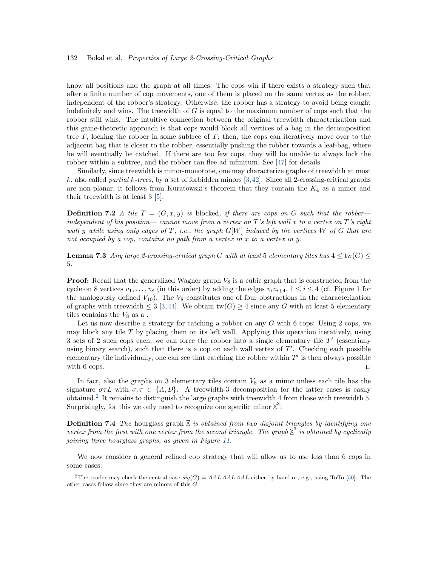know all positions and the graph at all times. The cops win if there exists a strategy such that after a finite number of cop movements, one of them is placed on the same vertex as the robber, independent of the robber's strategy. Otherwise, the robber has a strategy to avoid being caught indefinitely and wins. The treewidth of  $G$  is equal to the maximum number of cops such that the robber still wins. The intuitive connection between the original treewidth characterization and this game-theoretic approach is that cops would block all vertices of a bag in the decomposition tree  $T$ , locking the robber in some subtree of  $T$ ; then, the cops can iteratively move over to the adjacent bag that is closer to the robber, essentially pushing the robber towards a leaf-bag, where he will eventually be catched. If there are too few cops, they will be unable to always lock the robber within a subtree, and the robber can flee ad infinitum. See [\[47\]](#page-27-12) for details.

Similarly, since treewidth is minor-monotone, one may characterize graphs of treewidth at most k, also called *partial k-trees*, by a set of forbidden minors [\[3,](#page-24-3)[42\]](#page-27-13). Since all 2-crossing-critical graphs are non-planar, it follows from Kuratowski's theorem that they contain the  $K_4$  as a minor and their treewidth is at least 3 [\[5\]](#page-24-4).

**Definition 7.2** A tile  $T = (G, x, y)$  is blocked, if there are cops on G such that the robberindependent of his position— cannot move from a vertex on  $T$ 's left wall x to a vertex on  $T$ 's right wall y while using only edges of T, i.e., the graph  $G[W]$  induced by the vertices W of G that are not occupied by a cop, contains no path from a vertex in x to a vertex in y.

**Lemma 7.3** Any large 2-crossing-critical graph G with at least 5 elementary tiles has  $4 \leq \text{tw}(G) \leq$ 5.

**Proof:** Recall that the generalized Wagner graph  $V_8$  is a cubic graph that is constructed from the cycle on 8 vertices  $v_1, \ldots, v_8$  $v_1, \ldots, v_8$  $v_1, \ldots, v_8$  (in this order) by adding the edges  $v_i v_{i+4}, 1 \leq i \leq 4$  (cf. Figure 1 for the analogously defined  $V_{10}$ ). The  $V_8$  constitutes one of four obstructions in the characterization of graphs with treewidth  $\leq 3$  [\[3,](#page-24-3)[44\]](#page-27-14). We obtain tw(G)  $\geq 4$  since any G with at least 5 elementary tiles contains the  $V_8$  as a.

Let us now describe a strategy for catching a robber on any  $G$  with 6 cops: Using 2 cops, we may block any tile  $T$  by placing them on its left wall. Applying this operation iteratively, using 3 sets of 2 such cops each, we can force the robber into a single elementary tile  $T'$  (essentially using binary search), such that there is a cop on each wall vertex of  $T'$ . Checking each possible elementary tile individually, one can see that catching the robber within  $T'$  is then always possible with 6 cops.  $\Box$ 

In fact, also the graphs on 3 elementary tiles contain  $V_8$  as a minor unless each tile has the signature  $\sigma\tau L$  with  $\sigma,\tau \in \{A,D\}$ . A treewidth-3 decomposition for the latter cases is easily obtained.<sup>[2](#page-0-1)</sup> It remains to distinguish the large graphs with treewidth 4 from those with treewidth 5. Surprisingly, for this we only need to recognize one specific minor  $\mathbb{X}^3$ :

**Definition 7.4** The hourglass graph  $\Sigma$  is obtained from two disjoint triangles by identifying one vertex from the first with one vertex from the second triangle. The graph  $\mathbb{X}^3$  is obtained by cyclically joining three hourglass graphs, as given in Figure [11.](#page-22-0)

We now consider a general refined cop strategy that will allow us to use less than 6 cops in some cases.

<sup>&</sup>lt;sup>2</sup>The reader may check the central case  $sig(G) = AALAALAAL$  either by hand or, e.g., using ToTo [\[50\]](#page-27-15). The other cases follow since they are minors of this  $G$ .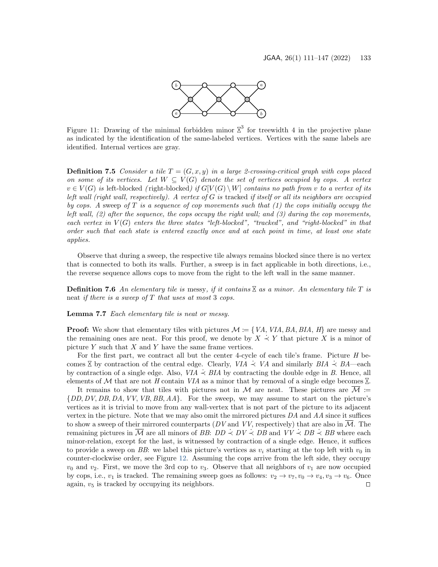

<span id="page-22-0"></span>Figure 11: Drawing of the minimal forbidden minor  $\mathbb{Z}^3$  for treewidth 4 in the projective plane as indicated by the identification of the same-labeled vertices. Vertices with the same labels are identified. Internal vertices are gray.

**Definition 7.5** Consider a tile  $T = (G, x, y)$  in a large 2-crossing-critical graph with cops placed on some of its vertices. Let  $W \subseteq V(G)$  denote the set of vertices occupied by cops. A vertex  $v \in V(G)$  is left-blocked (right-blocked) if  $G[V(G) \setminus W]$  contains no path from v to a vertex of its left wall (right wall, respectively). A vertex of  $G$  is tracked if itself or all its neighbors are occupied by cops. A sweep of T is a sequence of cop movements such that  $(1)$  the cops initially occupy the left wall,  $(2)$  after the sequence, the cops occupy the right wall; and  $(3)$  during the cop movements, each vertex in  $V(G)$  enters the three states "left-blocked", "tracked", and "right-blocked" in that order such that each state is entered exactly once and at each point in time, at least one state applies.

Observe that during a sweep, the respective tile always remains blocked since there is no vertex that is connected to both its walls. Further, a sweep is in fact applicable in both directions, i.e., the reverse sequence allows cops to move from the right to the left wall in the same manner.

**Definition 7.6** An elementary tile is messy, if it contains  $\mathbb{X}$  as a minor. An elementary tile T is neat if there is a sweep of  $T$  that uses at most 3 cops.

Lemma 7.7 Each elementary tile is neat or messy.

**Proof:** We show that elementary tiles with pictures  $\mathcal{M} := \{ VA, VIA, BA, BIA, H \}$  are messy and the remaining ones are neat. For this proof, we denote by  $X \nightharpoonup Y$  that picture X is a minor of picture  $Y$  such that  $X$  and  $Y$  have the same frame vertices.

For the first part, we contract all but the center 4-cycle of each tile's frame. Picture H becomes  $\overline{X}$  by contraction of the central edge. Clearly, *VIA*  $\prec$  *VA* and similarly  $BIA \prec BA$ —each by contraction of a single edge. Also,  $VIA \div BIA$  by contracting the double edge in B. Hence, all elements of M that are not H contain VIA as a minor that by removal of a single edge becomes  $\mathbb{X}$ .

It remains to show that tiles with pictures not in M are neat. These pictures are  $\overline{\mathcal{M}}$  :=  $\{DD, DV, DB, DA, VV, VB, BB, AA\}$ . For the sweep, we may assume to start on the picture's vertices as it is trivial to move from any wall-vertex that is not part of the picture to its adjacent vertex in the picture. Note that we may also omit the mirrored pictures  $DA$  and  $AA$  since it suffices to show a sweep of their mirrored counterparts  $(DV \text{ and } VV)$ , respectively) that are also in  $\overline{\mathcal{M}}$ . The remaining pictures in  $\overline{M}$  are all minors of BB: DD  $\prec DV \prec DB$  and  $VV \prec DB \prec BB$  where each minor-relation, except for the last, is witnessed by contraction of a single edge. Hence, it suffices to provide a sweep on BB: we label this picture's vertices as  $v_i$  starting at the top left with  $v_0$  in counter-clockwise order, see Figure [12.](#page-23-1) Assuming the cops arrive from the left side, they occupy  $v_0$  and  $v_2$ . First, we move the 3rd cop to  $v_3$ . Observe that all neighbors of  $v_1$  are now occupied by cops, i.e.,  $v_1$  is tracked. The remaining sweep goes as follows:  $v_2 \to v_7$ ,  $v_0 \to v_4$ ,  $v_3 \to v_6$ . Once<br>again.  $v_5$  is tracked by occupying its neighbors. again,  $v_5$  is tracked by occupying its neighbors.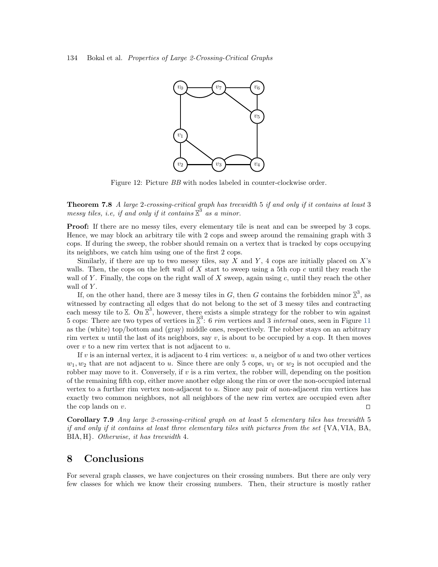<span id="page-23-1"></span>

Figure 12: Picture BB with nodes labeled in counter-clockwise order.

Theorem 7.8 A large 2-crossing-critical graph has treewidth 5 if and only if it contains at least 3 messy tiles, i.e, if and only if it contains  $\tilde{\vec{X}}^3$  as a minor.

**Proof:** If there are no messy tiles, every elementary tile is neat and can be sweeped by 3 cops. Hence, we may block an arbitrary tile with 2 cops and sweep around the remaining graph with 3 cops. If during the sweep, the robber should remain on a vertex that is tracked by cops occupying its neighbors, we catch him using one of the first 2 cops.

Similarly, if there are up to two messy tiles, say X and Y, 4 cops are initially placed on  $X$ 's walls. Then, the cops on the left wall of X start to sweep using a 5th cop c until they reach the wall of Y. Finally, the cops on the right wall of X sweep, again using  $c$ , until they reach the other wall of Y.

If, on the other hand, there are 3 messy tiles in G, then G contains the forbidden minor  $\mathbb{Z}^3$ , as witnessed by contracting all edges that do not belong to the set of 3 messy tiles and contracting each messy tile to  $\Sigma$ . On  $\Sigma^3$ , however, there exists a simple strategy for the robber to win against 5 cops: There are two types of vertices in  $\mathbb{X}^3$ : 6 *rim* vertices and 3 *internal* ones, seen in Figure [11](#page-22-0) as the (white) top/bottom and (gray) middle ones, respectively. The robber stays on an arbitrary rim vertex u until the last of its neighbors, say  $v$ , is about to be occupied by a cop. It then moves over  $v$  to a new rim vertex that is not adjacent to  $u$ .

If v is an internal vertex, it is adjacent to 4 rim vertices:  $u$ , a neigbor of u and two other vertices  $w_1, w_2$  that are not adjacent to u. Since there are only 5 cops,  $w_1$  or  $w_2$  is not occupied and the robber may move to it. Conversely, if  $v$  is a rim vertex, the robber will, depending on the position of the remaining fifth cop, either move another edge along the rim or over the non-occupied internal vertex to a further rim vertex non-adjacent to u. Since any pair of non-adjacent rim vertices has exactly two common neighbors, not all neighbors of the new rim vertex are occupied even after the cop lands on v.

<span id="page-23-0"></span>Corollary 7.9 Any large 2-crossing-critical graph on at least 5 elementary tiles has treewidth 5 if and only if it contains at least three elementary tiles with pictures from the set {VA, VIA, BA, BIA, H}. Otherwise, it has treewidth 4.

### 8 Conclusions

For several graph classes, we have conjectures on their crossing numbers. But there are only very few classes for which we know their crossing numbers. Then, their structure is mostly rather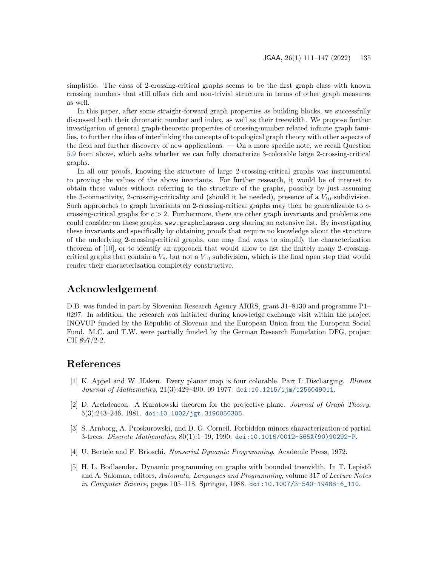simplistic. The class of 2-crossing-critical graphs seems to be the first graph class with known crossing numbers that still offers rich and non-trivial structure in terms of other graph measures as well.

In this paper, after some straight-forward graph properties as building blocks, we successfully discussed both their chromatic number and index, as well as their treewidth. We propose further investigation of general graph-theoretic properties of crossing-number related infinite graph families, to further the idea of interlinking the concepts of topological graph theory with other aspects of the field and further discovery of new applications. — On a more specific note, we recall Question [5.9](#page-16-1) from above, which asks whether we can fully characterize 3-colorable large 2-crossing-critical graphs.

In all our proofs, knowing the structure of large 2-crossing-critical graphs was instrumental to proving the values of the above invariants. For further research, it would be of interest to obtain these values without referring to the structure of the graphs, possibly by just assuming the 3-connectivity, 2-crossing-criticality and (should it be needed), presence of a  $V_{10}$  subdivision. Such approaches to graph invariants on 2-crossing-critical graphs may then be generalizable to ccrossing-critical graphs for  $c > 2$ . Furthermore, there are other graph invariants and problems one could consider on these graphs, www.graphclasses.org sharing an extensive list. By investigating these invariants and specifically by obtaining proofs that require no knowledge about the structure of the underlying 2-crossing-critical graphs, one may find ways to simplify the characterization theorem of [\[10\]](#page-25-3), or to identify an approach that would allow to list the finitely many 2-crossingcritical graphs that contain a  $V_8$ , but not a  $V_{10}$  subdivision, which is the final open step that would render their characterization completely constructive.

### Acknowledgement

D.B. was funded in part by Slovenian Research Agency ARRS, grant J1–8130 and programme P1– 0297. In addition, the research was initiated during knowledge exchange visit within the project INOVUP funded by the Republic of Slovenia and the European Union from the European Social Fund. M.C. and T.W. were partially funded by the German Research Foundation DFG, project CH 897/2-2.

### References

- <span id="page-24-1"></span>[1] K. Appel and W. Haken. Every planar map is four colorable. Part I: Discharging. Illinois Journal of Mathematics, 21(3):429–490, 09 1977. [doi:10.1215/ijm/1256049011](https://doi.org/10.1215/ijm/1256049011).
- <span id="page-24-0"></span>[2] D. Archdeacon. A Kuratowski theorem for the projective plane. Journal of Graph Theory, 5(3):243–246, 1981. [doi:10.1002/jgt.3190050305](https://doi.org/10.1002/jgt.3190050305).
- <span id="page-24-3"></span>[3] S. Arnborg, A. Proskurowski, and D. G. Corneil. Forbidden minors characterization of partial 3-trees. Discrete Mathematics, 80(1):1–19, 1990. [doi:10.1016/0012-365X\(90\)90292-P](https://doi.org/10.1016/0012-365X(90)90292-P).
- <span id="page-24-2"></span>[4] U. Bertele and F. Brioschi. Nonserial Dynamic Programming. Academic Press, 1972.
- <span id="page-24-4"></span>[5] H. L. Bodlaender. Dynamic programming on graphs with bounded treewidth. In T. Lepistö and A. Salomaa, editors, Automata, Languages and Programming, volume 317 of Lecture Notes in Computer Science, pages 105–118. Springer, 1988. [doi:10.1007/3-540-19488-6\\_110](https://doi.org/10.1007/3-540-19488-6_110).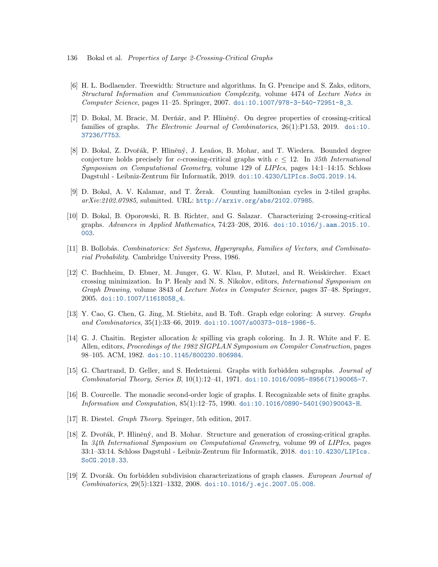- 136 Bokal et al. Properties of Large 2-Crossing-Critical Graphs
- <span id="page-25-13"></span>[6] H. L. Bodlaender. Treewidth: Structure and algorithms. In G. Prencipe and S. Zaks, editors, Structural Information and Communication Complexity, volume 4474 of Lecture Notes in Computer Science, pages 11–25. Springer, 2007. [doi:10.1007/978-3-540-72951-8\\_3](https://doi.org/10.1007/978-3-540-72951-8_3).
- <span id="page-25-4"></span>[7] D. Bokal, M. Bracic, M. Derňár, and P. Hliněný. On degree properties of crossing-critical families of graphs. The Electronic Journal of Combinatorics, 26(1):P1.53, 2019. [doi:10.](https://doi.org/10.37236/7753) [37236/7753](https://doi.org/10.37236/7753).
- <span id="page-25-7"></span>[8] D. Bokal, Z. Dvořák, P. Hliněný, J. Leaños, B. Mohar, and T. Wiedera. Bounded degree conjecture holds precisely for c-crossing-critical graphs with  $c \leq 12$ . In 35th International Symposium on Computational Geometry, volume 129 of LIPIcs, pages 14:1–14:15. Schloss Dagstuhl - Leibniz-Zentrum für Informatik, 2019. [doi:10.4230/LIPIcs.SoCG.2019.14](https://doi.org/10.4230/LIPIcs.SoCG.2019.14).
- <span id="page-25-5"></span>[9] D. Bokal, A. V. Kalamar, and T. Zerak. Counting hamiltonian cycles in 2-tiled graphs. arXiv:2102.07985, submitted. URL: <http://arxiv.org/abs/2102.07985>.
- <span id="page-25-3"></span>[10] D. Bokal, B. Oporowski, R. B. Richter, and G. Salazar. Characterizing 2-crossing-critical graphs. Advances in Applied Mathematics, 74:23–208, 2016. [doi:10.1016/j.aam.2015.10.](https://doi.org/10.1016/j.aam.2015.10.003) [003](https://doi.org/10.1016/j.aam.2015.10.003).
- <span id="page-25-0"></span>[11] B. Bollobás. Combinatorics: Set Systems, Hypergraphs, Families of Vectors, and Combinatorial Probability. Cambridge University Press, 1986.
- <span id="page-25-9"></span>[12] C. Buchheim, D. Ebner, M. Junger, G. W. Klau, P. Mutzel, and R. Weiskircher. Exact crossing minimization. In P. Healy and N. S. Nikolov, editors, International Symposium on Graph Drawing, volume 3843 of Lecture Notes in Computer Science, pages 37–48. Springer, 2005. [doi:10.1007/11618058\\_4](https://doi.org/10.1007/11618058_4).
- <span id="page-25-12"></span>[13] Y. Cao, G. Chen, G. Jing, M. Stiebitz, and B. Toft. Graph edge coloring: A survey. Graphs and Combinatorics, 35(1):33–66, 2019. [doi:10.1007/s00373-018-1986-5](https://doi.org/10.1007/s00373-018-1986-5).
- <span id="page-25-10"></span>[14] G. J. Chaitin. Register allocation & spilling via graph coloring. In J. R. White and F. E. Allen, editors, Proceedings of the 1982 SIGPLAN Symposium on Compiler Construction, pages 98–105. ACM, 1982. [doi:10.1145/800230.806984](https://doi.org/10.1145/800230.806984).
- <span id="page-25-1"></span>[15] G. Chartrand, D. Geller, and S. Hedetniemi. Graphs with forbidden subgraphs. Journal of Combinatorial Theory, Series B, 10(1):12–41, 1971. [doi:10.1016/0095-8956\(71\)90065-7](https://doi.org/10.1016/0095-8956(71)90065-7).
- <span id="page-25-11"></span>[16] B. Courcelle. The monadic second-order logic of graphs. I. Recognizable sets of finite graphs. Information and Computation, 85(1):12–75, 1990. [doi:10.1016/0890-5401\(90\)90043-H](https://doi.org/10.1016/0890-5401(90)90043-H).
- <span id="page-25-6"></span>[17] R. Diestel. Graph Theory. Springer, 5th edition, 2017.
- <span id="page-25-8"></span>[18] Z. Dvořák, P. Hliněný, and B. Mohar. Structure and generation of crossing-critical graphs. In 34th International Symposium on Computational Geometry, volume 99 of LIPIcs, pages  $33:1-33:14$ . Schloss Dagstuhl - Leibniz-Zentrum für Informatik, 2018. [doi:10.4230/LIPIcs.](https://doi.org/10.4230/LIPIcs.SoCG.2018.33) [SoCG.2018.33](https://doi.org/10.4230/LIPIcs.SoCG.2018.33).
- <span id="page-25-2"></span>[19] Z. Dvorák. On forbidden subdivision characterizations of graph classes. European Journal of Combinatorics, 29(5):1321–1332, 2008. [doi:10.1016/j.ejc.2007.05.008](https://doi.org/10.1016/j.ejc.2007.05.008).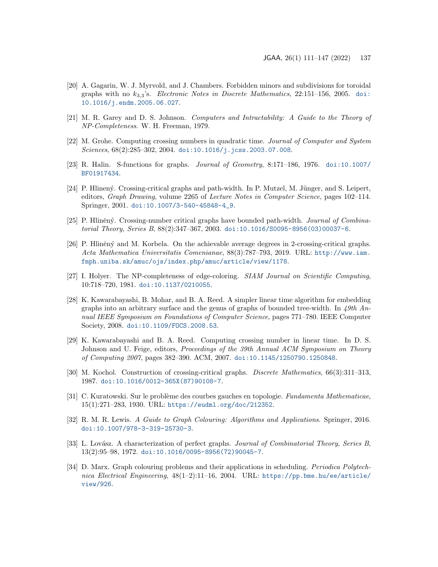- <span id="page-26-2"></span>[20] A. Gagarin, W. J. Myrvold, and J. Chambers. Forbidden minors and subdivisions for toroidal graphs with no  $k_{3,3}$ 's. Electronic Notes in Discrete Mathematics, 22:151-156, 2005. [doi:](https://doi.org/10.1016/j.endm.2005.06.027) [10.1016/j.endm.2005.06.027](https://doi.org/10.1016/j.endm.2005.06.027).
- <span id="page-26-9"></span>[21] M. R. Garey and D. S. Johnson. Computers and Intractability: A Guide to the Theory of NP-Completeness. W. H. Freeman, 1979.
- <span id="page-26-6"></span>[22] M. Grohe. Computing crossing numbers in quadratic time. Journal of Computer and System Sciences, 68(2):285-302, 2004. [doi:10.1016/j.jcss.2003.07.008](https://doi.org/10.1016/j.jcss.2003.07.008).
- <span id="page-26-13"></span>[23] R. Halin. S-functions for graphs. Journal of Geometry, 8:171–186, 1976. [doi:10.1007/](https://doi.org/10.1007/BF01917434) [BF01917434](https://doi.org/10.1007/BF01917434).
- <span id="page-26-8"></span>[24] P. Hlinený. Crossing-critical graphs and path-width. In P. Mutzel, M. Jünger, and S. Leipert, editors, Graph Drawing, volume 2265 of Lecture Notes in Computer Science, pages 102–114. Springer, 2001. [doi:10.1007/3-540-45848-4\\_9](https://doi.org/10.1007/3-540-45848-4_9).
- <span id="page-26-14"></span>[25] P. Hliněný. Crossing-number critical graphs have bounded path-width. *Journal of Combina*torial Theory, Series B, 88(2):347–367, 2003. [doi:10.1016/S0095-8956\(03\)00037-6](https://doi.org/10.1016/S0095-8956(03)00037-6).
- <span id="page-26-5"></span>[26] P. Hliněný and M. Korbela. On the achievable average degrees in 2-crossing-critical graphs. Acta Mathematica Universitatis Comenianae, 88(3):787–793, 2019. URL: [http://www.iam.](http://www.iam.fmph.uniba.sk/amuc/ojs/index.php/amuc/article/view/1178) [fmph.uniba.sk/amuc/ojs/index.php/amuc/article/view/1178](http://www.iam.fmph.uniba.sk/amuc/ojs/index.php/amuc/article/view/1178).
- <span id="page-26-12"></span>[27] I. Holyer. The NP-completeness of edge-coloring. SIAM Journal on Scientific Computing, 10:718–720, 1981. [doi:10.1137/0210055](https://doi.org/10.1137/0210055).
- <span id="page-26-3"></span>[28] K. Kawarabayashi, B. Mohar, and B. A. Reed. A simpler linear time algorithm for embedding graphs into an arbitrary surface and the genus of graphs of bounded tree-width. In  $49th$  Annual IEEE Symposium on Foundations of Computer Science, pages 771–780. IEEE Computer Society, 2008. [doi:10.1109/FOCS.2008.53](https://doi.org/10.1109/FOCS.2008.53).
- <span id="page-26-7"></span>[29] K. Kawarabayashi and B. A. Reed. Computing crossing number in linear time. In D. S. Johnson and U. Feige, editors, *Proceedings of the 39th Annual ACM Symposium on Theory* of Computing 2007, pages 382–390. ACM, 2007. [doi:10.1145/1250790.1250848](https://doi.org/10.1145/1250790.1250848).
- <span id="page-26-4"></span>[30] M. Kochol. Construction of crossing-critical graphs. Discrete Mathematics, 66(3):311–313, 1987. [doi:10.1016/0012-365X\(87\)90108-7](https://doi.org/10.1016/0012-365X(87)90108-7).
- <span id="page-26-0"></span>[31] C. Kuratowski. Sur le problème des courbes gauches en topologie. Fundamenta Mathematicae, 15(1):271–283, 1930. URL: <https://eudml.org/doc/212352>.
- <span id="page-26-10"></span>[32] R. M. R. Lewis. A Guide to Graph Colouring: Algorithms and Applications. Springer, 2016. [doi:10.1007/978-3-319-25730-3](https://doi.org/10.1007/978-3-319-25730-3).
- <span id="page-26-1"></span>[33] L. Lovász. A characterization of perfect graphs. Journal of Combinatorial Theory, Series B, 13(2):95–98, 1972. [doi:10.1016/0095-8956\(72\)90045-7](https://doi.org/10.1016/0095-8956(72)90045-7).
- <span id="page-26-11"></span>[34] D. Marx. Graph colouring problems and their applications in scheduling. Periodica Polytechnica Electrical Engineering, 48(1–2):11–16, 2004. URL: [https://pp.bme.hu/ee/article/](https://pp.bme.hu/ee/article/view/926) [view/926](https://pp.bme.hu/ee/article/view/926).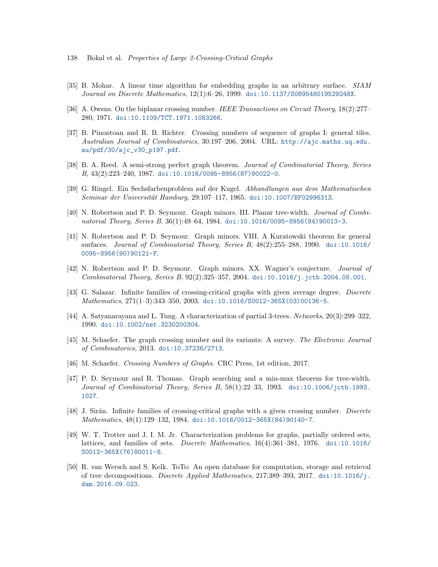- 138 Bokal et al. Properties of Large 2-Crossing-Critical Graphs
- <span id="page-27-3"></span>[35] B. Mohar. A linear time algorithm for embedding graphs in an arbitrary surface. SIAM Journal on Discrete Mathematics, 12(1):6–26, 1999. [doi:10.1137/S089548019529248X](https://doi.org/10.1137/S089548019529248X).
- <span id="page-27-9"></span>[36] A. Owens. On the biplanar crossing number. IEEE Transactions on Circuit Theory, 18(2):277– 280, 1971. [doi:10.1109/TCT.1971.1083266](https://doi.org/10.1109/TCT.1971.1083266).
- <span id="page-27-6"></span>[37] B. Pinontoan and R. B. Richter. Crossing numbers of sequence of graphs I: general tiles. Australian Journal of Combinatorics, 30:197–206, 2004. URL: [http://ajc.maths.uq.edu.](http://ajc.maths.uq.edu.au/pdf/30/ajc_v30_p197.pdf) [au/pdf/30/ajc\\_v30\\_p197.pdf](http://ajc.maths.uq.edu.au/pdf/30/ajc_v30_p197.pdf).
- <span id="page-27-1"></span>[38] B. A. Reed. A semi-strong perfect graph theorem. Journal of Combinatorial Theory, Series B, 43(2):223–240, 1987. [doi:10.1016/0095-8956\(87\)90022-0](https://doi.org/10.1016/0095-8956(87)90022-0).
- <span id="page-27-8"></span>[39] G. Ringel. Ein Sechsfarbenproblem auf der Kugel. Abhandlungen aus dem Mathematischen Seminar der Universität Hamburg, 29:107-117, 1965. [doi:10.1007/BF02996313](https://doi.org/10.1007/BF02996313).
- <span id="page-27-11"></span>[40] N. Robertson and P. D. Seymour. Graph minors. III. Planar tree-width. Journal of Combinatorial Theory, Series B, 36(1):49–64, 1984. [doi:10.1016/0095-8956\(84\)90013-3](https://doi.org/10.1016/0095-8956(84)90013-3).
- <span id="page-27-2"></span>[41] N. Robertson and P. D. Seymour. Graph minors. VIII. A Kuratowski theorem for general surfaces. Journal of Combinatorial Theory, Series B,  $48(2):255-288$ , 1990. [doi:10.1016/](https://doi.org/10.1016/0095-8956(90)90121-F) [0095-8956\(90\)90121-F](https://doi.org/10.1016/0095-8956(90)90121-F).
- <span id="page-27-13"></span>[42] N. Robertson and P. D. Seymour. Graph minors. XX. Wagner's conjecture. Journal of Combinatorial Theory, Series B, 92(2):325–357, 2004. [doi:10.1016/j.jctb.2004.08.001](https://doi.org/10.1016/j.jctb.2004.08.001).
- <span id="page-27-7"></span>[43] G. Salazar. Infinite families of crossing-critical graphs with given average degree. Discrete Mathematics, 271(1–3):343–350, 2003. [doi:10.1016/S0012-365X\(03\)00136-5](https://doi.org/10.1016/S0012-365X(03)00136-5).
- <span id="page-27-14"></span>[44] A. Satyanarayana and L. Tung. A characterization of partial 3-trees. Networks, 20(3):299–322, 1990. [doi:10.1002/net.3230200304](https://doi.org/10.1002/net.3230200304).
- <span id="page-27-10"></span>[45] M. Schaefer. The graph crossing number and its variants: A survey. The Electronic Journal of Combinatorics, 2013. [doi:10.37236/2713](https://doi.org/10.37236/2713).
- <span id="page-27-5"></span>[46] M. Schaefer. Crossing Numbers of Graphs. CRC Press, 1st edition, 2017.
- <span id="page-27-12"></span>[47] P. D. Seymour and R. Thomas. Graph searching and a min-max theorem for tree-width. Journal of Combinatorial Theory, Series B, 58(1):22–33, 1993. [doi:10.1006/jctb.1993.](https://doi.org/10.1006/jctb.1993.1027) [1027](https://doi.org/10.1006/jctb.1993.1027).
- <span id="page-27-4"></span>[48] J. Sirán. Infinite families of crossing-critical graphs with a given crossing number. *Discrete* Mathematics, 48(1):129–132, 1984. [doi:10.1016/0012-365X\(84\)90140-7](https://doi.org/10.1016/0012-365X(84)90140-7).
- <span id="page-27-0"></span>[49] W. T. Trotter and J. I. M. Jr. Characterization problems for graphs, partially ordered sets, lattices, and families of sets. Discrete Mathematics, 16(4):361–381, 1976. [doi:10.1016/](https://doi.org/10.1016/S0012-365X(76)80011-8) [S0012-365X\(76\)80011-8](https://doi.org/10.1016/S0012-365X(76)80011-8).
- <span id="page-27-15"></span>[50] R. van Wersch and S. Kelk. ToTo: An open database for computation, storage and retrieval of tree decompositions. Discrete Applied Mathematics, 217:389–393, 2017. [doi:10.1016/j.](https://doi.org/10.1016/j.dam.2016.09.023) [dam.2016.09.023](https://doi.org/10.1016/j.dam.2016.09.023).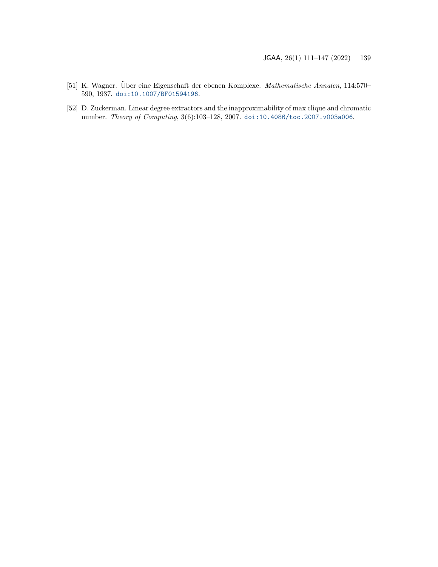- <span id="page-28-0"></span>[51] K. Wagner. Über eine Eigenschaft der ebenen Komplexe. Mathematische Annalen, 114:570– 590, 1937. [doi:10.1007/BF01594196](https://doi.org/10.1007/BF01594196).
- <span id="page-28-1"></span>[52] D. Zuckerman. Linear degree extractors and the inapproximability of max clique and chromatic number. Theory of Computing, 3(6):103–128, 2007. [doi:10.4086/toc.2007.v003a006](https://doi.org/10.4086/toc.2007.v003a006).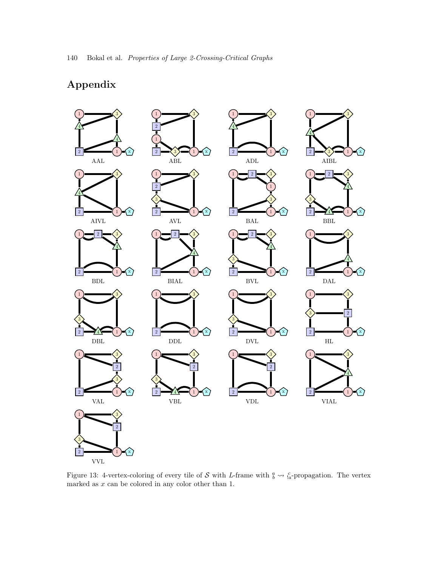# Appendix

<span id="page-29-0"></span>

Figure 13: 4-vertex-coloring of every tile of S with L-frame with  $\frac{a}{b} \leadsto \frac{c}{a}$ -propagation. The vertex marked as  $x$  can be colored in any color other than 1.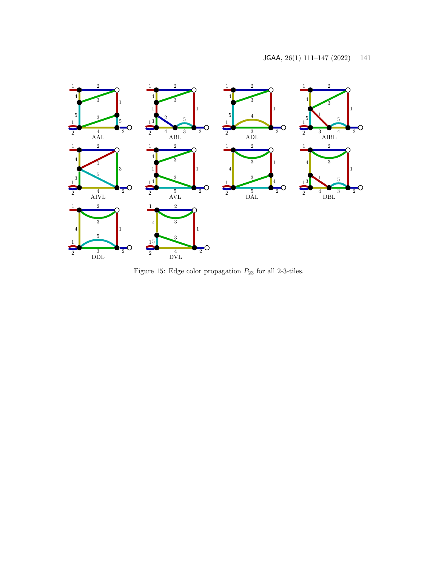<span id="page-30-0"></span>![](_page_30_Figure_1.jpeg)

Figure 15: Edge color propagation  $\mathcal{P}_{23}$  for all 2-3-tiles.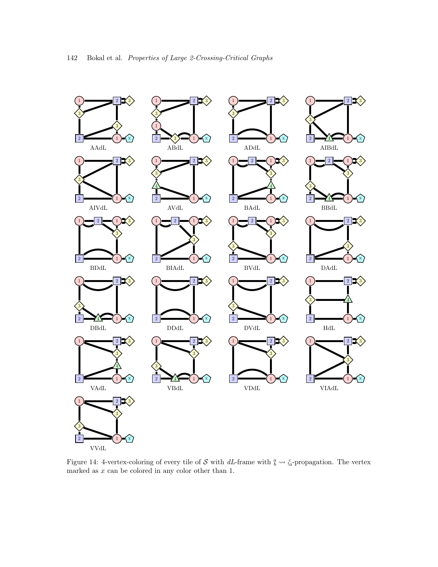<span id="page-31-0"></span>![](_page_31_Figure_0.jpeg)

Figure 14: 4-vertex-coloring of every tile of S with dL-frame with  $\frac{a}{b} \rightarrow \frac{c}{a}$ -propagation. The vertex marked as x can be colored in any color other than 1.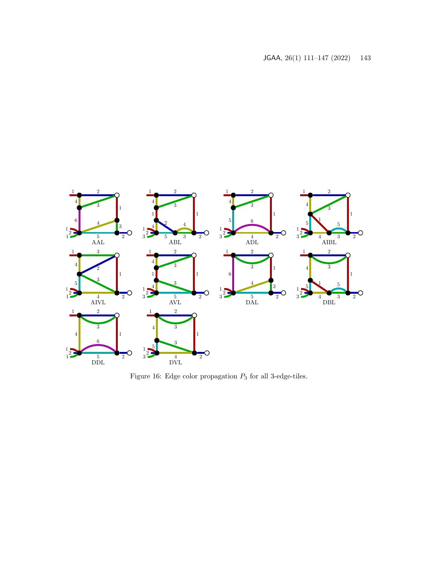![](_page_32_Figure_1.jpeg)

Figure 16: Edge color propagation  $\mathcal{P}_3$  for all 3-edge-tiles.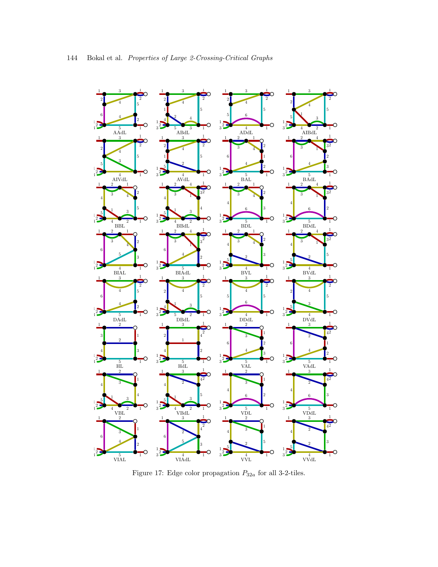![](_page_33_Figure_0.jpeg)

Figure 17: Edge color propagation  $P_{32a}$  for all 3-2-tiles.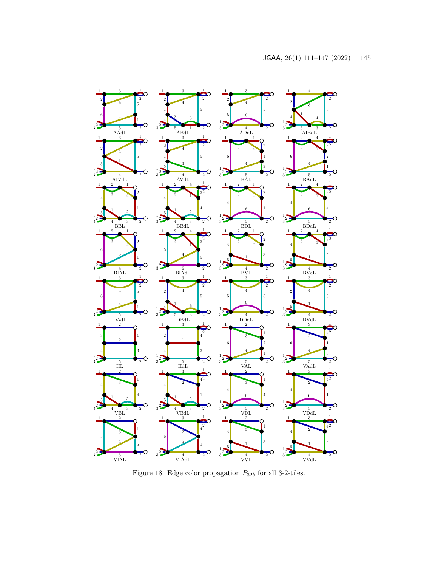![](_page_34_Figure_1.jpeg)

Figure 18: Edge color propagation  $\mathcal{P}_{32b}$  for all 3-2-tiles.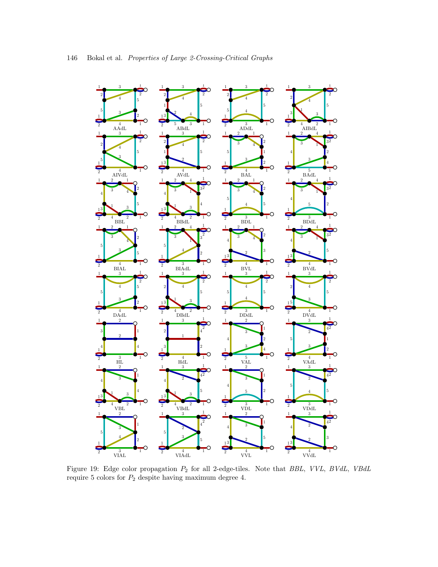<span id="page-35-0"></span>![](_page_35_Figure_0.jpeg)

 

 $4^{\degree}$ 

 

 

 

 $\mathbf{1}$ 

 

 

 

 

 $4^{\degree}$ 

 

 $4^{\degree}$ 

 $\frac{4}{3}$ 

 $^{2}$ 

 $\frac{3}{3}$ 

 $^{2}$ 

 $\rm{vVdL}$ 

 $\frac{5}{2}$ 

 $\frac{3}{2}$ 

 $\frac{4}{\text{VVL}}$ 

 

 

 

 $\frac{4}{3}$ 

 $^{2}$ 

 $\frac{4}{\text{VBdL}}^2$ 

4 VIAdL

 

 

 

 

 

 $_{\rm HL}^{\rm 3}$ 

 

 $\frac{4}{\text{VBL}}$ <sup>2</sup>

 $\overline{2}$ 

 $_{\rm VIAL}^{3}$ 

 

 

Figure 19: Edge color propagation P<sup>2</sup> for all 2-edge-tiles. Note that BBL, VVL, BVdL, VBdL require 5 colors for  $\mathcal{P}_2$  despite having maximum degree 4.